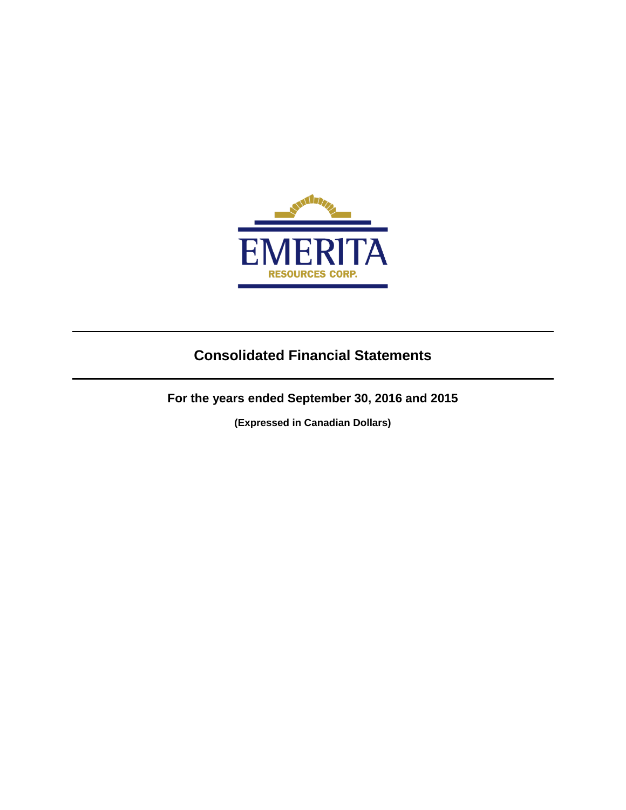

# **Consolidated Financial Statements**

**For the years ended September 30, 2016 and 2015**

**(Expressed in Canadian Dollars)**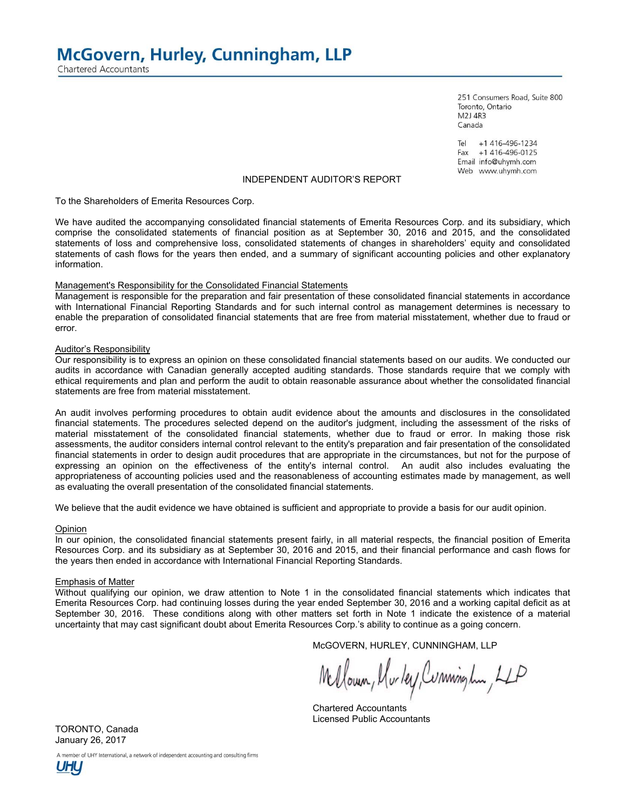McGovern, Hurley, Cunningham, LLP

**Chartered Accountants** 

251 Consumers Road, Suite 800 Toronto, Ontario M2J 4R3 Canada

Tel +1 416-496-1234<br>Fax +1 416-496-0125 Email info@uhymh.com Web www.uhymh.com

#### INDEPENDENT AUDITOR'S REPORT

To the Shareholders of Emerita Resources Corp.

We have audited the accompanying consolidated financial statements of Emerita Resources Corp. and its subsidiary, which comprise the consolidated statements of financial position as at September 30, 2016 and 2015, and the consolidated statements of loss and comprehensive loss, consolidated statements of changes in shareholders' equity and consolidated statements of cash flows for the years then ended, and a summary of significant accounting policies and other explanatory information.

#### Management's Responsibility for the Consolidated Financial Statements

Management is responsible for the preparation and fair presentation of these consolidated financial statements in accordance with International Financial Reporting Standards and for such internal control as management determines is necessary to enable the preparation of consolidated financial statements that are free from material misstatement, whether due to fraud or error.

#### Auditor's Responsibility

Our responsibility is to express an opinion on these consolidated financial statements based on our audits. We conducted our audits in accordance with Canadian generally accepted auditing standards. Those standards require that we comply with ethical requirements and plan and perform the audit to obtain reasonable assurance about whether the consolidated financial statements are free from material misstatement.

An audit involves performing procedures to obtain audit evidence about the amounts and disclosures in the consolidated financial statements. The procedures selected depend on the auditor's judgment, including the assessment of the risks of material misstatement of the consolidated financial statements, whether due to fraud or error. In making those risk assessments, the auditor considers internal control relevant to the entity's preparation and fair presentation of the consolidated financial statements in order to design audit procedures that are appropriate in the circumstances, but not for the purpose of expressing an opinion on the effectiveness of the entity's internal control. An audit also includes evaluating the appropriateness of accounting policies used and the reasonableness of accounting estimates made by management, as well as evaluating the overall presentation of the consolidated financial statements.

We believe that the audit evidence we have obtained is sufficient and appropriate to provide a basis for our audit opinion.

#### Opinion

In our opinion, the consolidated financial statements present fairly, in all material respects, the financial position of Emerita Resources Corp. and its subsidiary as at September 30, 2016 and 2015, and their financial performance and cash flows for the years then ended in accordance with International Financial Reporting Standards.

#### Emphasis of Matter

Without qualifying our opinion, we draw attention to Note 1 in the consolidated financial statements which indicates that Emerita Resources Corp. had continuing losses during the year ended September 30, 2016 and a working capital deficit as at September 30, 2016. These conditions along with other matters set forth in Note 1 indicate the existence of a material uncertainty that may cast significant doubt about Emerita Resources Corp.'s ability to continue as a going concern.

McGOVERN, HURLEY, CUNNINGHAM, LLP

Mellown, Murley, Cunninghin, LLP

 Chartered Accountants Licensed Public Accountants

TORONTO, Canada January 26, 2017

mber of UHY International, a network of independent accounting and consulting firms

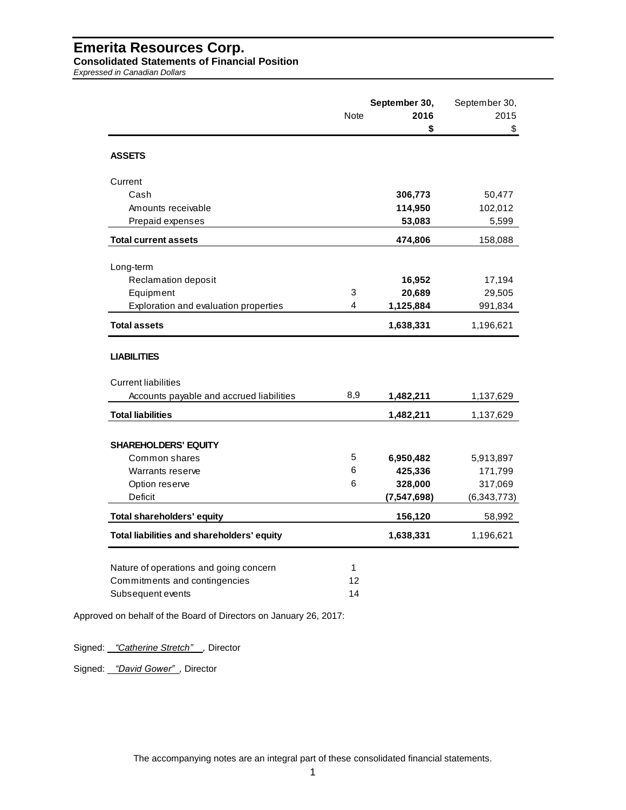#### **Consolidated Statements of Financial Position**

*Expressed in Canadian Dollars*

|                                            | <b>Note</b> | September 30,<br>2016<br>\$ | September 30,<br>2015<br>\$ |
|--------------------------------------------|-------------|-----------------------------|-----------------------------|
| <b>ASSETS</b>                              |             |                             |                             |
| Current                                    |             |                             |                             |
| Cash                                       |             | 306,773                     | 50,477                      |
| Amounts receivable                         |             | 114,950                     | 102,012                     |
| Prepaid expenses                           |             | 53,083                      | 5,599                       |
| <b>Total current assets</b>                |             | 474,806                     | 158,088                     |
| Long-term                                  |             |                             |                             |
| Reclamation deposit                        |             | 16,952                      | 17,194                      |
| Equipment                                  | 3           | 20,689                      | 29,505                      |
| Exploration and evaluation properties      | 4           | 1,125,884                   | 991,834                     |
| <b>Total assets</b>                        |             | 1,638,331                   | 1,196,621                   |
| <b>LIABILITIES</b>                         |             |                             |                             |
| <b>Current liabilities</b>                 |             |                             |                             |
| Accounts payable and accrued liabilities   | 8,9         | 1,482,211                   | 1,137,629                   |
| <b>Total liabilities</b>                   |             | 1,482,211                   | 1,137,629                   |
| <b>SHAREHOLDERS' EQUITY</b>                |             |                             |                             |
| Common shares                              | 5           | 6,950,482                   | 5,913,897                   |
| Warrants reserve                           | 6           | 425,336                     | 171,799                     |
| Option reserve                             | 6           | 328,000                     | 317,069                     |
| <b>Deficit</b>                             |             | (7, 547, 698)               | (6, 343, 773)               |
| <b>Total shareholders' equity</b>          |             | 156,120                     | 58,992                      |
| Total liabilities and shareholders' equity |             | 1,638,331                   | 1,196,621                   |
| Nature of operations and going concern     | 1           |                             |                             |
| Commitments and contingencies              | 12          |                             |                             |
| Subsequent events                          | 14          |                             |                             |
|                                            |             |                             |                             |

Approved on behalf of the Board of Directors on January 26, 2017:

Signed: *"Catherine Stretch" ,* Director

Signed: *"David Gower" ,* Director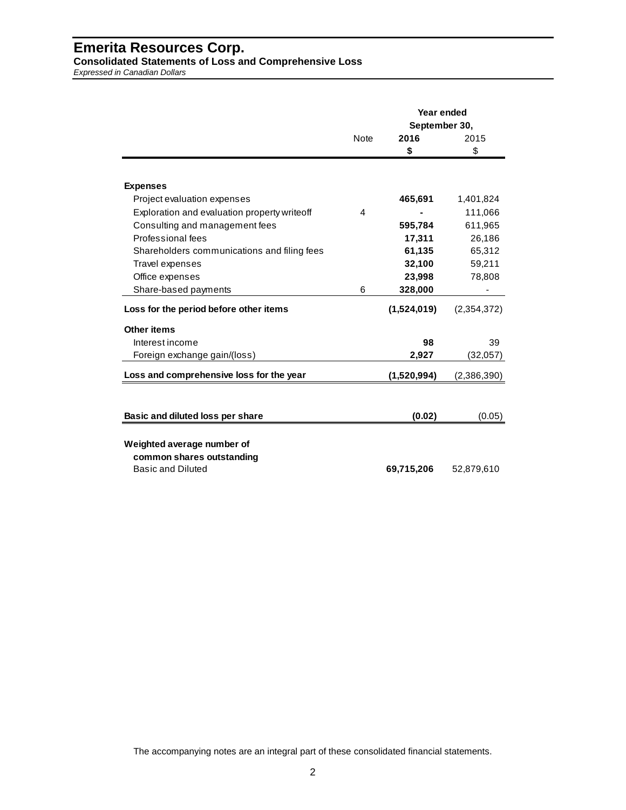**Consolidated Statements of Loss and Comprehensive Loss**

*Expressed in Canadian Dollars*

|                                              |             | Year ended<br>September 30, |             |
|----------------------------------------------|-------------|-----------------------------|-------------|
|                                              | <b>Note</b> | 2016                        | 2015        |
|                                              |             | \$                          | \$          |
|                                              |             |                             |             |
| <b>Expenses</b>                              |             |                             |             |
| Project evaluation expenses                  |             | 465,691                     | 1,401,824   |
| Exploration and evaluation property writeoff | 4           |                             | 111,066     |
| Consulting and management fees               |             | 595,784                     | 611,965     |
| Professional fees                            |             | 17,311                      | 26,186      |
| Shareholders communications and filing fees  |             | 61,135                      | 65,312      |
| Travel expenses                              |             | 32,100                      | 59,211      |
| Office expenses                              |             | 23,998                      | 78,808      |
| Share-based payments                         | 6           | 328,000                     |             |
| Loss for the period before other items       |             | (1,524,019)                 | (2,354,372) |
| Other items                                  |             |                             |             |
| Interest income                              |             | 98                          | 39          |
| Foreign exchange gain/(loss)                 |             | 2,927                       | (32,057)    |
| Loss and comprehensive loss for the year     |             | (1,520,994)                 | (2,386,390) |
|                                              |             |                             |             |
|                                              |             |                             |             |
| Basic and diluted loss per share             |             | (0.02)                      | (0.05)      |
|                                              |             |                             |             |
| Weighted average number of                   |             |                             |             |
| common shares outstanding                    |             |                             |             |
| <b>Basic and Diluted</b>                     |             | 69,715,206                  | 52,879,610  |

The accompanying notes are an integral part of these consolidated financial statements.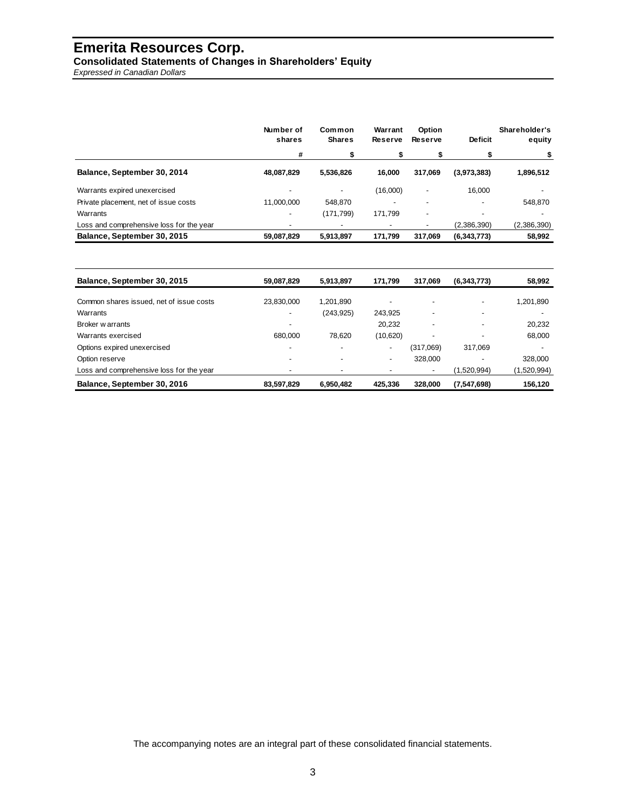**Consolidated Statements of Changes in Shareholders' Equity**

*Expressed in Canadian Dollars*

|                                          | Number of<br>shares      | Common<br><b>Shares</b>  | Warrant<br><b>Reserve</b> | Option<br><b>Reserve</b> | Deficit                  | Shareholder's<br>equity |
|------------------------------------------|--------------------------|--------------------------|---------------------------|--------------------------|--------------------------|-------------------------|
|                                          | #                        |                          |                           |                          |                          |                         |
| Balance, September 30, 2014              | 48,087,829               | 5,536,826                | 16.000                    | 317.069                  | (3,973,383)              | 1,896,512               |
| Warrants expired unexercised             | $\overline{\phantom{0}}$ | $\overline{\phantom{0}}$ | (16,000)                  | $\overline{\phantom{0}}$ | 16,000                   |                         |
| Private placement, net of issue costs    | 11,000,000               | 548,870                  |                           |                          | $\overline{\phantom{0}}$ | 548,870                 |
| Warrants                                 | $\overline{\phantom{0}}$ | (171,799)                | 171.799                   | $\overline{\phantom{0}}$ | $\overline{\phantom{0}}$ |                         |
| Loss and comprehensive loss for the year | $\overline{\phantom{0}}$ | -                        | $\overline{\phantom{0}}$  |                          | (2,386,390)              | (2,386,390)             |
| Balance, September 30, 2015              | 59,087,829               | 5.913.897                | 171.799                   | 317.069                  | (6,343,773)              | 58,992                  |

| Balance, September 30, 2015              | 59,087,829               | 5,913,897                | 171.799                  | 317.069   | (6,343,773)              | 58,992      |
|------------------------------------------|--------------------------|--------------------------|--------------------------|-----------|--------------------------|-------------|
| Common shares issued, net of issue costs | 23,830,000               | 1.201.890                |                          |           | -                        | 1,201,890   |
| Warrants                                 | $\overline{\phantom{0}}$ | (243, 925)               | 243.925                  |           | $\overline{\phantom{0}}$ |             |
| Broker w arrants                         | $\overline{\phantom{0}}$ |                          | 20,232                   |           | $\overline{\phantom{0}}$ | 20,232      |
| Warrants exercised                       | 680.000                  | 78.620                   | (10,620)                 |           |                          | 68,000      |
| Options expired unexercised              |                          |                          |                          | (317,069) | 317.069                  |             |
| Option reserve                           | $\overline{\phantom{0}}$ | $\overline{\phantom{0}}$ | $\overline{\phantom{0}}$ | 328,000   |                          | 328,000     |
| Loss and comprehensive loss for the year | $\overline{\phantom{0}}$ | $\overline{\phantom{0}}$ |                          |           | (1,520,994)              | (1,520,994) |
| Balance, September 30, 2016              | 83,597,829               | 6,950,482                | 425.336                  | 328,000   | (7,547,698)              | 156.120     |

The accompanying notes are an integral part of these consolidated financial statements.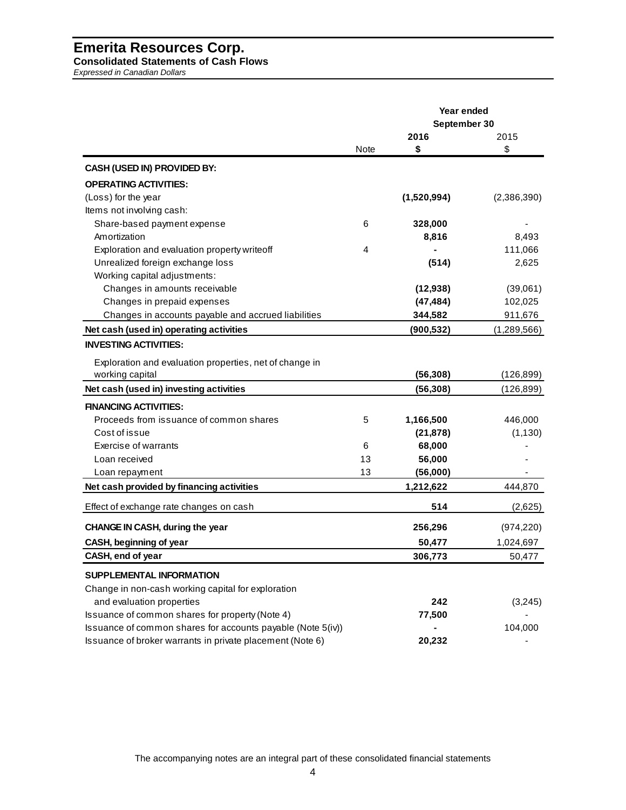## **Consolidated Statements of Cash Flows**

*Expressed in Canadian Dollars*

|                                                             |             | Year ended<br>September 30 |             |  |  |
|-------------------------------------------------------------|-------------|----------------------------|-------------|--|--|
|                                                             |             | 2016                       | 2015        |  |  |
|                                                             | <b>Note</b> | \$                         | \$          |  |  |
| CASH (USED IN) PROVIDED BY:                                 |             |                            |             |  |  |
| <b>OPERATING ACTIVITIES:</b>                                |             |                            |             |  |  |
| (Loss) for the year                                         |             | (1,520,994)                | (2,386,390) |  |  |
| Items not involving cash:                                   |             |                            |             |  |  |
| Share-based payment expense                                 | 6           | 328,000                    |             |  |  |
| Amortization                                                |             | 8,816                      | 8,493       |  |  |
| Exploration and evaluation property writeoff                | 4           |                            | 111,066     |  |  |
| Unrealized foreign exchange loss                            |             | (514)                      | 2,625       |  |  |
| Working capital adjustments:                                |             |                            |             |  |  |
| Changes in amounts receivable                               |             | (12, 938)                  | (39,061)    |  |  |
| Changes in prepaid expenses                                 |             | (47, 484)                  | 102,025     |  |  |
| Changes in accounts payable and accrued liabilities         |             | 344,582                    | 911,676     |  |  |
| Net cash (used in) operating activities                     |             | (900, 532)                 | (1,289,566) |  |  |
| <b>INVESTING ACTIVITIES:</b>                                |             |                            |             |  |  |
| Exploration and evaluation properties, net of change in     |             |                            |             |  |  |
| working capital                                             |             | (56, 308)                  | (126, 899)  |  |  |
| Net cash (used in) investing activities                     |             | (56, 308)                  | (126, 899)  |  |  |
| <b>FINANCING ACTIVITIES:</b>                                |             |                            |             |  |  |
| Proceeds from issuance of common shares                     | 5           | 1,166,500                  | 446,000     |  |  |
| Cost of issue                                               |             | (21, 878)                  | (1, 130)    |  |  |
| Exercise of warrants                                        | 6           | 68,000                     |             |  |  |
| Loan received                                               | 13          | 56,000                     |             |  |  |
| Loan repayment                                              | 13          | (56,000)                   |             |  |  |
| Net cash provided by financing activities                   |             | 1,212,622                  | 444,870     |  |  |
| Effect of exchange rate changes on cash                     |             | 514                        | (2,625)     |  |  |
| <b>CHANGE IN CASH, during the year</b>                      |             | 256,296                    | (974, 220)  |  |  |
| CASH, beginning of year                                     |             | 50,477                     | 1,024,697   |  |  |
| CASH, end of year                                           |             | 306,773                    | 50,477      |  |  |
| <b>SUPPLEMENTAL INFORMATION</b>                             |             |                            |             |  |  |
| Change in non-cash working capital for exploration          |             |                            |             |  |  |
| and evaluation properties                                   |             | 242                        | (3,245)     |  |  |
| Issuance of common shares for property (Note 4)             |             | 77,500                     |             |  |  |
| Issuance of common shares for accounts payable (Note 5(iv)) |             |                            | 104,000     |  |  |
| Issuance of broker warrants in private placement (Note 6)   |             | 20,232                     |             |  |  |

The accompanying notes are an integral part of these consolidated financial statements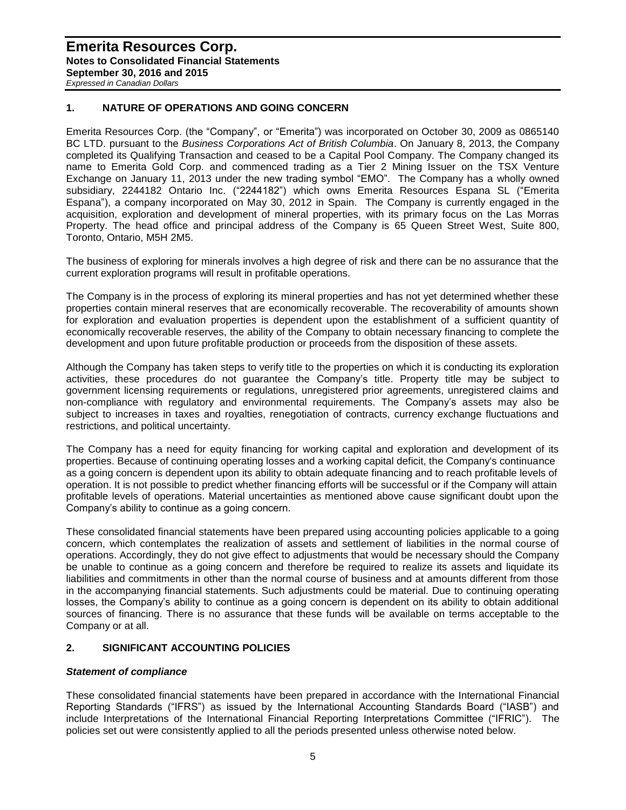## **1. NATURE OF OPERATIONS AND GOING CONCERN**

Emerita Resources Corp. (the "Company", or "Emerita") was incorporated on October 30, 2009 as 0865140 BC LTD. pursuant to the *Business Corporations Act of British Columbia*. On January 8, 2013, the Company completed its Qualifying Transaction and ceased to be a Capital Pool Company. The Company changed its name to Emerita Gold Corp. and commenced trading as a Tier 2 Mining Issuer on the TSX Venture Exchange on January 11, 2013 under the new trading symbol "EMO". The Company has a wholly owned subsidiary, 2244182 Ontario Inc. ("2244182") which owns Emerita Resources Espana SL ("Emerita Espana"), a company incorporated on May 30, 2012 in Spain. The Company is currently engaged in the acquisition, exploration and development of mineral properties, with its primary focus on the Las Morras Property. The head office and principal address of the Company is 65 Queen Street West, Suite 800, Toronto, Ontario, M5H 2M5.

The business of exploring for minerals involves a high degree of risk and there can be no assurance that the current exploration programs will result in profitable operations.

The Company is in the process of exploring its mineral properties and has not yet determined whether these properties contain mineral reserves that are economically recoverable. The recoverability of amounts shown for exploration and evaluation properties is dependent upon the establishment of a sufficient quantity of economically recoverable reserves, the ability of the Company to obtain necessary financing to complete the development and upon future profitable production or proceeds from the disposition of these assets.

Although the Company has taken steps to verify title to the properties on which it is conducting its exploration activities, these procedures do not guarantee the Company's title. Property title may be subject to government licensing requirements or regulations, unregistered prior agreements, unregistered claims and non-compliance with regulatory and environmental requirements. The Company's assets may also be subject to increases in taxes and royalties, renegotiation of contracts, currency exchange fluctuations and restrictions, and political uncertainty.

The Company has a need for equity financing for working capital and exploration and development of its properties. Because of continuing operating losses and a working capital deficit, the Company's continuance as a going concern is dependent upon its ability to obtain adequate financing and to reach profitable levels of operation. It is not possible to predict whether financing efforts will be successful or if the Company will attain profitable levels of operations. Material uncertainties as mentioned above cause significant doubt upon the Company's ability to continue as a going concern.

These consolidated financial statements have been prepared using accounting policies applicable to a going concern, which contemplates the realization of assets and settlement of liabilities in the normal course of operations. Accordingly, they do not give effect to adjustments that would be necessary should the Company be unable to continue as a going concern and therefore be required to realize its assets and liquidate its liabilities and commitments in other than the normal course of business and at amounts different from those in the accompanying financial statements. Such adjustments could be material. Due to continuing operating losses, the Company's ability to continue as a going concern is dependent on its ability to obtain additional sources of financing. There is no assurance that these funds will be available on terms acceptable to the Company or at all.

### **2. SIGNIFICANT ACCOUNTING POLICIES**

### *Statement of compliance*

These consolidated financial statements have been prepared in accordance with the International Financial Reporting Standards ("IFRS") as issued by the International Accounting Standards Board ("IASB") and include Interpretations of the International Financial Reporting Interpretations Committee ("IFRIC"). The policies set out were consistently applied to all the periods presented unless otherwise noted below.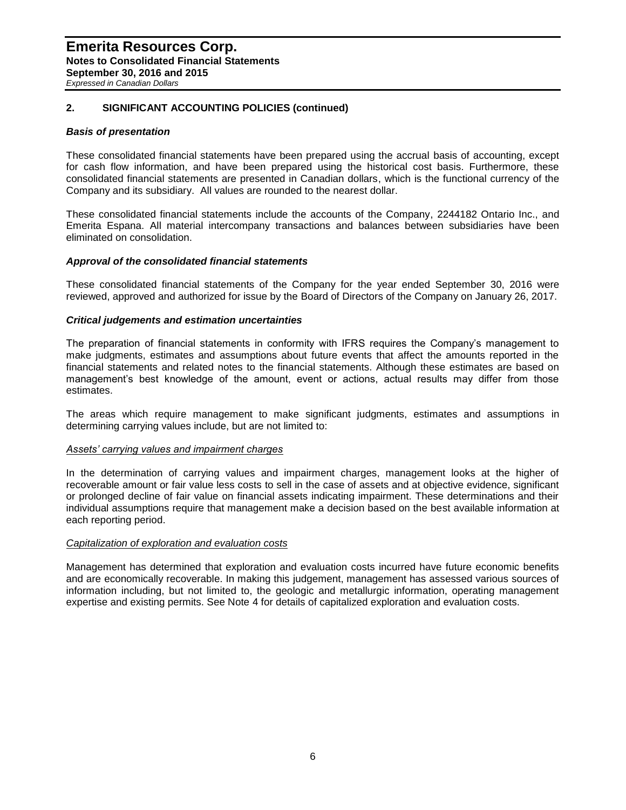#### *Basis of presentation*

These consolidated financial statements have been prepared using the accrual basis of accounting, except for cash flow information, and have been prepared using the historical cost basis. Furthermore, these consolidated financial statements are presented in Canadian dollars, which is the functional currency of the Company and its subsidiary. All values are rounded to the nearest dollar.

These consolidated financial statements include the accounts of the Company, 2244182 Ontario Inc., and Emerita Espana. All material intercompany transactions and balances between subsidiaries have been eliminated on consolidation.

#### *Approval of the consolidated financial statements*

These consolidated financial statements of the Company for the year ended September 30, 2016 were reviewed, approved and authorized for issue by the Board of Directors of the Company on January 26, 2017.

#### *Critical judgements and estimation uncertainties*

The preparation of financial statements in conformity with IFRS requires the Company's management to make judgments, estimates and assumptions about future events that affect the amounts reported in the financial statements and related notes to the financial statements. Although these estimates are based on management's best knowledge of the amount, event or actions, actual results may differ from those estimates.

The areas which require management to make significant judgments, estimates and assumptions in determining carrying values include, but are not limited to:

#### *Assets' carrying values and impairment charges*

In the determination of carrying values and impairment charges, management looks at the higher of recoverable amount or fair value less costs to sell in the case of assets and at objective evidence, significant or prolonged decline of fair value on financial assets indicating impairment. These determinations and their individual assumptions require that management make a decision based on the best available information at each reporting period.

#### *Capitalization of exploration and evaluation costs*

Management has determined that exploration and evaluation costs incurred have future economic benefits and are economically recoverable. In making this judgement, management has assessed various sources of information including, but not limited to, the geologic and metallurgic information, operating management expertise and existing permits. See Note 4 for details of capitalized exploration and evaluation costs.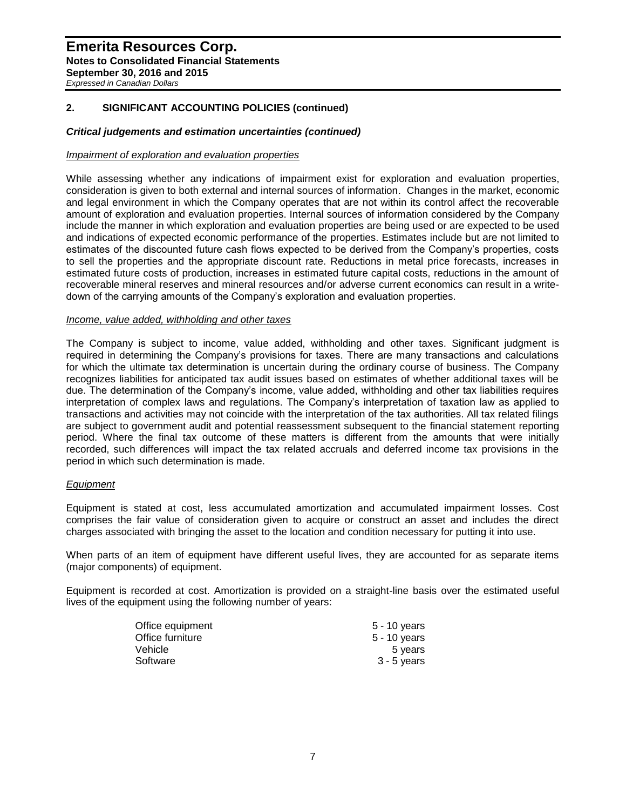#### **Emerita Resources Corp. Notes to Consolidated Financial Statements September 30, 2016 and 2015** *Expressed in Canadian Dollars*

## **2. SIGNIFICANT ACCOUNTING POLICIES (continued)**

## *Critical judgements and estimation uncertainties (continued)*

#### *Impairment of exploration and evaluation properties*

While assessing whether any indications of impairment exist for exploration and evaluation properties, consideration is given to both external and internal sources of information. Changes in the market, economic and legal environment in which the Company operates that are not within its control affect the recoverable amount of exploration and evaluation properties. Internal sources of information considered by the Company include the manner in which exploration and evaluation properties are being used or are expected to be used and indications of expected economic performance of the properties. Estimates include but are not limited to estimates of the discounted future cash flows expected to be derived from the Company's properties, costs to sell the properties and the appropriate discount rate. Reductions in metal price forecasts, increases in estimated future costs of production, increases in estimated future capital costs, reductions in the amount of recoverable mineral reserves and mineral resources and/or adverse current economics can result in a writedown of the carrying amounts of the Company's exploration and evaluation properties.

#### *Income, value added, withholding and other taxes*

The Company is subject to income, value added, withholding and other taxes. Significant judgment is required in determining the Company's provisions for taxes. There are many transactions and calculations for which the ultimate tax determination is uncertain during the ordinary course of business. The Company recognizes liabilities for anticipated tax audit issues based on estimates of whether additional taxes will be due. The determination of the Company's income, value added, withholding and other tax liabilities requires interpretation of complex laws and regulations. The Company's interpretation of taxation law as applied to transactions and activities may not coincide with the interpretation of the tax authorities. All tax related filings are subject to government audit and potential reassessment subsequent to the financial statement reporting period. Where the final tax outcome of these matters is different from the amounts that were initially recorded, such differences will impact the tax related accruals and deferred income tax provisions in the period in which such determination is made.

### *Equipment*

Equipment is stated at cost, less accumulated amortization and accumulated impairment losses. Cost comprises the fair value of consideration given to acquire or construct an asset and includes the direct charges associated with bringing the asset to the location and condition necessary for putting it into use.

When parts of an item of equipment have different useful lives, they are accounted for as separate items (major components) of equipment.

Equipment is recorded at cost. Amortization is provided on a straight-line basis over the estimated useful lives of the equipment using the following number of years:

| Office equipment | 5 - 10 years  |
|------------------|---------------|
| Office furniture | 5 - 10 years  |
| Vehicle          | 5 years       |
| Software         | $3 - 5$ years |
|                  |               |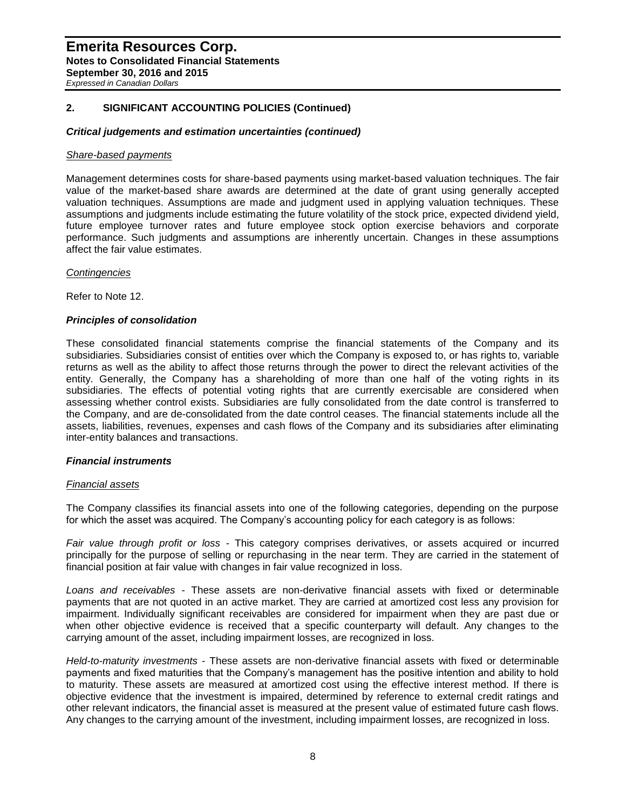### *Critical judgements and estimation uncertainties (continued)*

#### *Share-based payments*

Management determines costs for share-based payments using market-based valuation techniques. The fair value of the market-based share awards are determined at the date of grant using generally accepted valuation techniques. Assumptions are made and judgment used in applying valuation techniques. These assumptions and judgments include estimating the future volatility of the stock price, expected dividend yield, future employee turnover rates and future employee stock option exercise behaviors and corporate performance. Such judgments and assumptions are inherently uncertain. Changes in these assumptions affect the fair value estimates.

*Contingencies* 

Refer to Note 12.

#### *Principles of consolidation*

These consolidated financial statements comprise the financial statements of the Company and its subsidiaries. Subsidiaries consist of entities over which the Company is exposed to, or has rights to, variable returns as well as the ability to affect those returns through the power to direct the relevant activities of the entity. Generally, the Company has a shareholding of more than one half of the voting rights in its subsidiaries. The effects of potential voting rights that are currently exercisable are considered when assessing whether control exists. Subsidiaries are fully consolidated from the date control is transferred to the Company, and are de-consolidated from the date control ceases. The financial statements include all the assets, liabilities, revenues, expenses and cash flows of the Company and its subsidiaries after eliminating inter-entity balances and transactions.

### *Financial instruments*

#### *Financial assets*

The Company classifies its financial assets into one of the following categories, depending on the purpose for which the asset was acquired. The Company's accounting policy for each category is as follows:

*Fair value through profit or loss -* This category comprises derivatives, or assets acquired or incurred principally for the purpose of selling or repurchasing in the near term. They are carried in the statement of financial position at fair value with changes in fair value recognized in loss.

*Loans and receivables -* These assets are non-derivative financial assets with fixed or determinable payments that are not quoted in an active market. They are carried at amortized cost less any provision for impairment. Individually significant receivables are considered for impairment when they are past due or when other objective evidence is received that a specific counterparty will default. Any changes to the carrying amount of the asset, including impairment losses, are recognized in loss.

*Held-to-maturity investments* - These assets are non-derivative financial assets with fixed or determinable payments and fixed maturities that the Company's management has the positive intention and ability to hold to maturity. These assets are measured at amortized cost using the effective interest method. If there is objective evidence that the investment is impaired, determined by reference to external credit ratings and other relevant indicators, the financial asset is measured at the present value of estimated future cash flows. Any changes to the carrying amount of the investment, including impairment losses, are recognized in loss.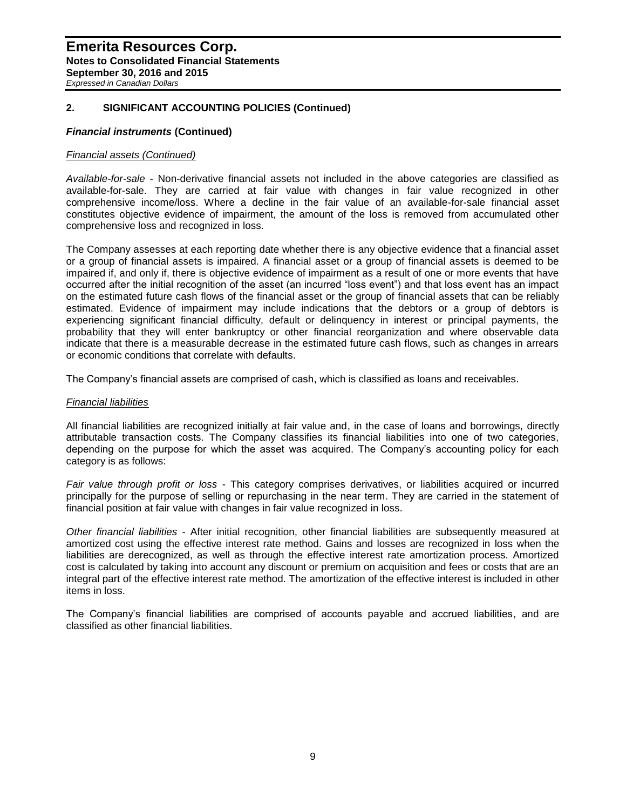### *Financial instruments* **(Continued)**

#### *Financial assets (Continued)*

*Available-for-sale* - Non-derivative financial assets not included in the above categories are classified as available-for-sale. They are carried at fair value with changes in fair value recognized in other comprehensive income/loss. Where a decline in the fair value of an available-for-sale financial asset constitutes objective evidence of impairment, the amount of the loss is removed from accumulated other comprehensive loss and recognized in loss.

The Company assesses at each reporting date whether there is any objective evidence that a financial asset or a group of financial assets is impaired. A financial asset or a group of financial assets is deemed to be impaired if, and only if, there is objective evidence of impairment as a result of one or more events that have occurred after the initial recognition of the asset (an incurred "loss event") and that loss event has an impact on the estimated future cash flows of the financial asset or the group of financial assets that can be reliably estimated. Evidence of impairment may include indications that the debtors or a group of debtors is experiencing significant financial difficulty, default or delinquency in interest or principal payments, the probability that they will enter bankruptcy or other financial reorganization and where observable data indicate that there is a measurable decrease in the estimated future cash flows, such as changes in arrears or economic conditions that correlate with defaults.

The Company's financial assets are comprised of cash, which is classified as loans and receivables.

#### *Financial liabilities*

All financial liabilities are recognized initially at fair value and, in the case of loans and borrowings, directly attributable transaction costs. The Company classifies its financial liabilities into one of two categories, depending on the purpose for which the asset was acquired. The Company's accounting policy for each category is as follows:

*Fair value through profit or loss* - This category comprises derivatives, or liabilities acquired or incurred principally for the purpose of selling or repurchasing in the near term. They are carried in the statement of financial position at fair value with changes in fair value recognized in loss.

*Other financial liabilities* - After initial recognition, other financial liabilities are subsequently measured at amortized cost using the effective interest rate method. Gains and losses are recognized in loss when the liabilities are derecognized, as well as through the effective interest rate amortization process. Amortized cost is calculated by taking into account any discount or premium on acquisition and fees or costs that are an integral part of the effective interest rate method. The amortization of the effective interest is included in other items in loss.

The Company's financial liabilities are comprised of accounts payable and accrued liabilities, and are classified as other financial liabilities.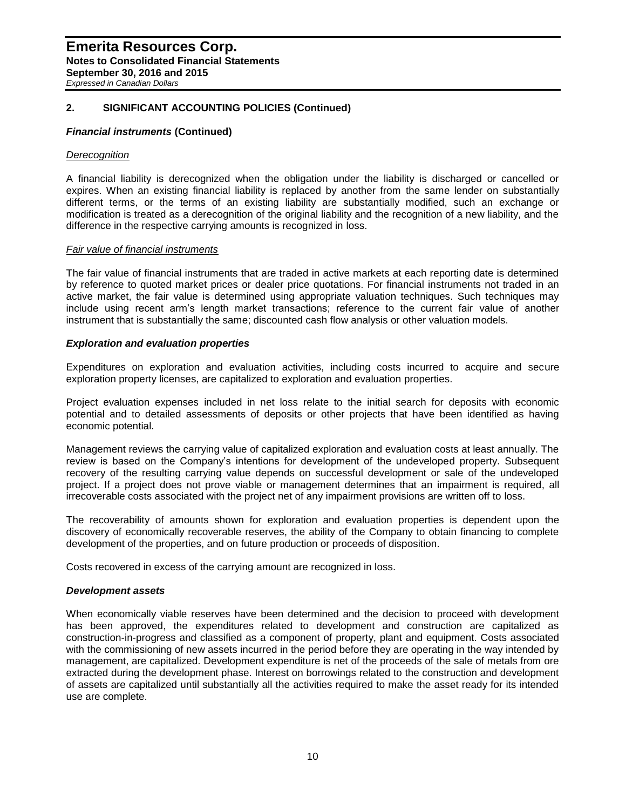### *Financial instruments* **(Continued)**

#### *Derecognition*

A financial liability is derecognized when the obligation under the liability is discharged or cancelled or expires. When an existing financial liability is replaced by another from the same lender on substantially different terms, or the terms of an existing liability are substantially modified, such an exchange or modification is treated as a derecognition of the original liability and the recognition of a new liability, and the difference in the respective carrying amounts is recognized in loss.

#### *Fair value of financial instruments*

The fair value of financial instruments that are traded in active markets at each reporting date is determined by reference to quoted market prices or dealer price quotations. For financial instruments not traded in an active market, the fair value is determined using appropriate valuation techniques. Such techniques may include using recent arm's length market transactions; reference to the current fair value of another instrument that is substantially the same; discounted cash flow analysis or other valuation models.

#### *Exploration and evaluation properties*

Expenditures on exploration and evaluation activities, including costs incurred to acquire and secure exploration property licenses, are capitalized to exploration and evaluation properties.

Project evaluation expenses included in net loss relate to the initial search for deposits with economic potential and to detailed assessments of deposits or other projects that have been identified as having economic potential.

Management reviews the carrying value of capitalized exploration and evaluation costs at least annually. The review is based on the Company's intentions for development of the undeveloped property. Subsequent recovery of the resulting carrying value depends on successful development or sale of the undeveloped project. If a project does not prove viable or management determines that an impairment is required, all irrecoverable costs associated with the project net of any impairment provisions are written off to loss.

The recoverability of amounts shown for exploration and evaluation properties is dependent upon the discovery of economically recoverable reserves, the ability of the Company to obtain financing to complete development of the properties, and on future production or proceeds of disposition.

Costs recovered in excess of the carrying amount are recognized in loss.

#### *Development assets*

When economically viable reserves have been determined and the decision to proceed with development has been approved, the expenditures related to development and construction are capitalized as construction-in-progress and classified as a component of property, plant and equipment. Costs associated with the commissioning of new assets incurred in the period before they are operating in the way intended by management, are capitalized. Development expenditure is net of the proceeds of the sale of metals from ore extracted during the development phase. Interest on borrowings related to the construction and development of assets are capitalized until substantially all the activities required to make the asset ready for its intended use are complete.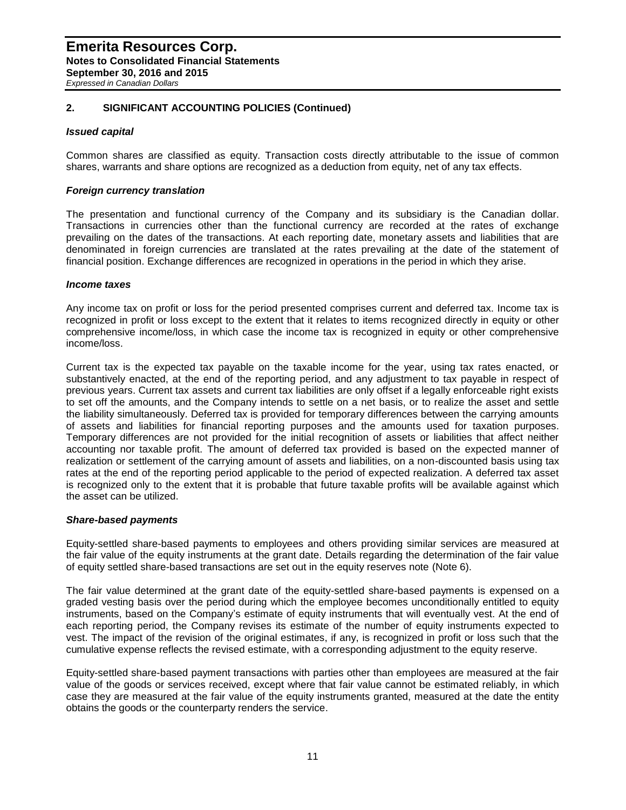#### *Issued capital*

Common shares are classified as equity. Transaction costs directly attributable to the issue of common shares, warrants and share options are recognized as a deduction from equity, net of any tax effects.

#### *Foreign currency translation*

The presentation and functional currency of the Company and its subsidiary is the Canadian dollar. Transactions in currencies other than the functional currency are recorded at the rates of exchange prevailing on the dates of the transactions. At each reporting date, monetary assets and liabilities that are denominated in foreign currencies are translated at the rates prevailing at the date of the statement of financial position. Exchange differences are recognized in operations in the period in which they arise.

#### *Income taxes*

Any income tax on profit or loss for the period presented comprises current and deferred tax. Income tax is recognized in profit or loss except to the extent that it relates to items recognized directly in equity or other comprehensive income/loss, in which case the income tax is recognized in equity or other comprehensive income/loss.

Current tax is the expected tax payable on the taxable income for the year, using tax rates enacted, or substantively enacted, at the end of the reporting period, and any adjustment to tax payable in respect of previous years. Current tax assets and current tax liabilities are only offset if a legally enforceable right exists to set off the amounts, and the Company intends to settle on a net basis, or to realize the asset and settle the liability simultaneously. Deferred tax is provided for temporary differences between the carrying amounts of assets and liabilities for financial reporting purposes and the amounts used for taxation purposes. Temporary differences are not provided for the initial recognition of assets or liabilities that affect neither accounting nor taxable profit. The amount of deferred tax provided is based on the expected manner of realization or settlement of the carrying amount of assets and liabilities, on a non-discounted basis using tax rates at the end of the reporting period applicable to the period of expected realization. A deferred tax asset is recognized only to the extent that it is probable that future taxable profits will be available against which the asset can be utilized.

### *Share-based payments*

Equity-settled share-based payments to employees and others providing similar services are measured at the fair value of the equity instruments at the grant date. Details regarding the determination of the fair value of equity settled share-based transactions are set out in the equity reserves note (Note 6).

The fair value determined at the grant date of the equity-settled share-based payments is expensed on a graded vesting basis over the period during which the employee becomes unconditionally entitled to equity instruments, based on the Company's estimate of equity instruments that will eventually vest. At the end of each reporting period, the Company revises its estimate of the number of equity instruments expected to vest. The impact of the revision of the original estimates, if any, is recognized in profit or loss such that the cumulative expense reflects the revised estimate, with a corresponding adjustment to the equity reserve.

Equity-settled share-based payment transactions with parties other than employees are measured at the fair value of the goods or services received, except where that fair value cannot be estimated reliably, in which case they are measured at the fair value of the equity instruments granted, measured at the date the entity obtains the goods or the counterparty renders the service.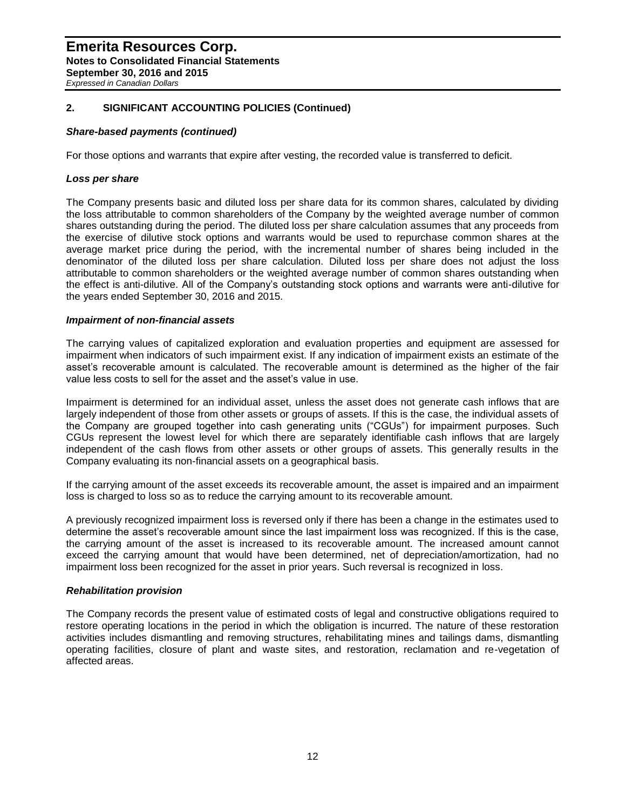## *Share-based payments (continued)*

For those options and warrants that expire after vesting, the recorded value is transferred to deficit.

### *Loss per share*

The Company presents basic and diluted loss per share data for its common shares, calculated by dividing the loss attributable to common shareholders of the Company by the weighted average number of common shares outstanding during the period. The diluted loss per share calculation assumes that any proceeds from the exercise of dilutive stock options and warrants would be used to repurchase common shares at the average market price during the period, with the incremental number of shares being included in the denominator of the diluted loss per share calculation. Diluted loss per share does not adjust the loss attributable to common shareholders or the weighted average number of common shares outstanding when the effect is anti-dilutive. All of the Company's outstanding stock options and warrants were anti-dilutive for the years ended September 30, 2016 and 2015.

### *Impairment of non-financial assets*

The carrying values of capitalized exploration and evaluation properties and equipment are assessed for impairment when indicators of such impairment exist. If any indication of impairment exists an estimate of the asset's recoverable amount is calculated. The recoverable amount is determined as the higher of the fair value less costs to sell for the asset and the asset's value in use.

Impairment is determined for an individual asset, unless the asset does not generate cash inflows that are largely independent of those from other assets or groups of assets. If this is the case, the individual assets of the Company are grouped together into cash generating units ("CGUs") for impairment purposes. Such CGUs represent the lowest level for which there are separately identifiable cash inflows that are largely independent of the cash flows from other assets or other groups of assets. This generally results in the Company evaluating its non-financial assets on a geographical basis.

If the carrying amount of the asset exceeds its recoverable amount, the asset is impaired and an impairment loss is charged to loss so as to reduce the carrying amount to its recoverable amount.

A previously recognized impairment loss is reversed only if there has been a change in the estimates used to determine the asset's recoverable amount since the last impairment loss was recognized. If this is the case, the carrying amount of the asset is increased to its recoverable amount. The increased amount cannot exceed the carrying amount that would have been determined, net of depreciation/amortization, had no impairment loss been recognized for the asset in prior years. Such reversal is recognized in loss.

### *Rehabilitation provision*

The Company records the present value of estimated costs of legal and constructive obligations required to restore operating locations in the period in which the obligation is incurred. The nature of these restoration activities includes dismantling and removing structures, rehabilitating mines and tailings dams, dismantling operating facilities, closure of plant and waste sites, and restoration, reclamation and re-vegetation of affected areas.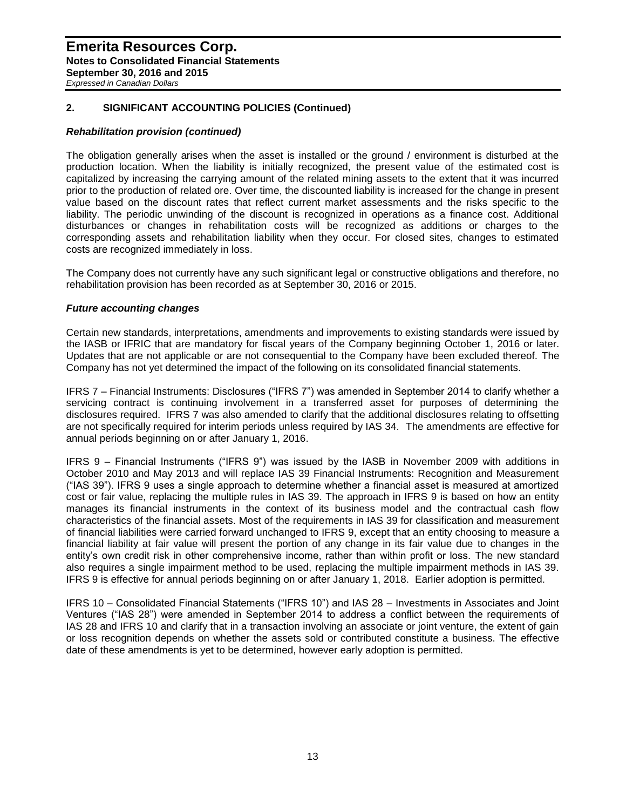## *Rehabilitation provision (continued)*

The obligation generally arises when the asset is installed or the ground / environment is disturbed at the production location. When the liability is initially recognized, the present value of the estimated cost is capitalized by increasing the carrying amount of the related mining assets to the extent that it was incurred prior to the production of related ore. Over time, the discounted liability is increased for the change in present value based on the discount rates that reflect current market assessments and the risks specific to the liability. The periodic unwinding of the discount is recognized in operations as a finance cost. Additional disturbances or changes in rehabilitation costs will be recognized as additions or charges to the corresponding assets and rehabilitation liability when they occur. For closed sites, changes to estimated costs are recognized immediately in loss.

The Company does not currently have any such significant legal or constructive obligations and therefore, no rehabilitation provision has been recorded as at September 30, 2016 or 2015.

### *Future accounting changes*

Certain new standards, interpretations, amendments and improvements to existing standards were issued by the IASB or IFRIC that are mandatory for fiscal years of the Company beginning October 1, 2016 or later. Updates that are not applicable or are not consequential to the Company have been excluded thereof. The Company has not yet determined the impact of the following on its consolidated financial statements.

IFRS 7 – Financial Instruments: Disclosures ("IFRS 7") was amended in September 2014 to clarify whether a servicing contract is continuing involvement in a transferred asset for purposes of determining the disclosures required. IFRS 7 was also amended to clarify that the additional disclosures relating to offsetting are not specifically required for interim periods unless required by IAS 34. The amendments are effective for annual periods beginning on or after January 1, 2016.

IFRS 9 – Financial Instruments ("IFRS 9") was issued by the IASB in November 2009 with additions in October 2010 and May 2013 and will replace IAS 39 Financial Instruments: Recognition and Measurement ("IAS 39"). IFRS 9 uses a single approach to determine whether a financial asset is measured at amortized cost or fair value, replacing the multiple rules in IAS 39. The approach in IFRS 9 is based on how an entity manages its financial instruments in the context of its business model and the contractual cash flow characteristics of the financial assets. Most of the requirements in IAS 39 for classification and measurement of financial liabilities were carried forward unchanged to IFRS 9, except that an entity choosing to measure a financial liability at fair value will present the portion of any change in its fair value due to changes in the entity's own credit risk in other comprehensive income, rather than within profit or loss. The new standard also requires a single impairment method to be used, replacing the multiple impairment methods in IAS 39. IFRS 9 is effective for annual periods beginning on or after January 1, 2018. Earlier adoption is permitted.

IFRS 10 – Consolidated Financial Statements ("IFRS 10") and IAS 28 – Investments in Associates and Joint Ventures ("IAS 28") were amended in September 2014 to address a conflict between the requirements of IAS 28 and IFRS 10 and clarify that in a transaction involving an associate or joint venture, the extent of gain or loss recognition depends on whether the assets sold or contributed constitute a business. The effective date of these amendments is yet to be determined, however early adoption is permitted.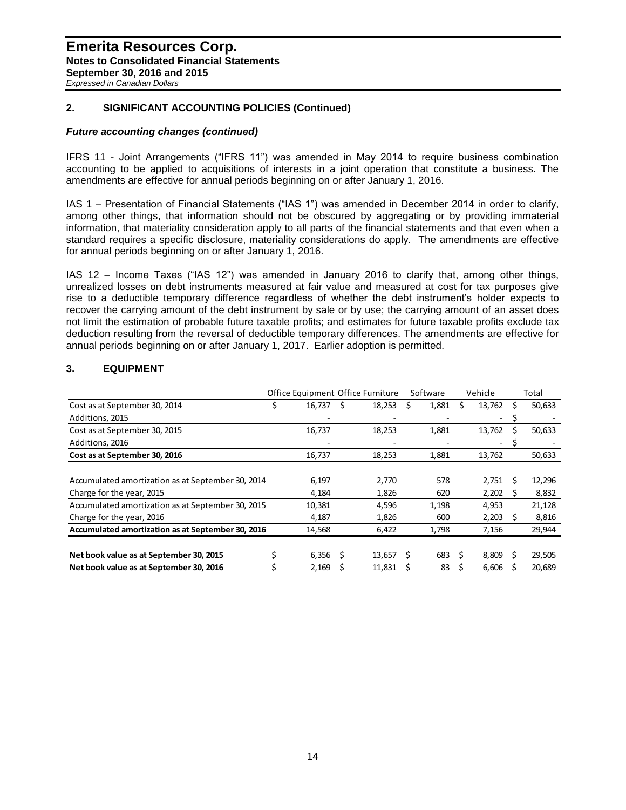### *Future accounting changes (continued)*

IFRS 11 - Joint Arrangements ("IFRS 11") was amended in May 2014 to require business combination accounting to be applied to acquisitions of interests in a joint operation that constitute a business. The amendments are effective for annual periods beginning on or after January 1, 2016.

IAS 1 – Presentation of Financial Statements ("IAS 1") was amended in December 2014 in order to clarify, among other things, that information should not be obscured by aggregating or by providing immaterial information, that materiality consideration apply to all parts of the financial statements and that even when a standard requires a specific disclosure, materiality considerations do apply. The amendments are effective for annual periods beginning on or after January 1, 2016.

IAS 12 – Income Taxes ("IAS 12") was amended in January 2016 to clarify that, among other things, unrealized losses on debt instruments measured at fair value and measured at cost for tax purposes give rise to a deductible temporary difference regardless of whether the debt instrument's holder expects to recover the carrying amount of the debt instrument by sale or by use; the carrying amount of an asset does not limit the estimation of probable future taxable profits; and estimates for future taxable profits exclude tax deduction resulting from the reversal of deductible temporary differences. The amendments are effective for annual periods beginning on or after January 1, 2017. Earlier adoption is permitted.

## **3. EQUIPMENT**

|                                                   |        |   | Office Equipment Office Furniture |    | Software |   | Vehicle |    | Total  |
|---------------------------------------------------|--------|---|-----------------------------------|----|----------|---|---------|----|--------|
| Cost as at September 30, 2014                     | 16,737 | Ś | 18,253                            | \$ | 1,881    | S | 13,762  | S  | 50,633 |
| Additions, 2015                                   |        |   | -                                 |    | -        |   | ۰       | S  |        |
| Cost as at September 30, 2015                     | 16,737 |   | 18,253                            |    | 1,881    |   | 13,762  | Ś  | 50,633 |
| Additions, 2016                                   |        |   | -                                 |    |          |   | ۰       | S  |        |
| Cost as at September 30, 2016                     | 16,737 |   | 18,253                            |    | 1,881    |   | 13,762  |    | 50,633 |
|                                                   |        |   |                                   |    |          |   |         |    |        |
| Accumulated amortization as at September 30, 2014 | 6,197  |   | 2,770                             |    | 578      |   | 2,751   | Ŝ. | 12,296 |
| Charge for the year, 2015                         | 4,184  |   | 1,826                             |    | 620      |   | 2,202   | S  | 8,832  |
| Accumulated amortization as at September 30, 2015 | 10,381 |   | 4,596                             |    | 1,198    |   | 4,953   |    | 21,128 |
| Charge for the year, 2016                         | 4,187  |   | 1,826                             |    | 600      |   | 2,203   | Ŝ. | 8,816  |
| Accumulated amortization as at September 30, 2016 | 14,568 |   | 6,422                             |    | 1,798    |   | 7,156   |    | 29,944 |
|                                                   |        |   |                                   |    |          |   |         |    |        |
| Net book value as at September 30, 2015           | 6,356  | Ŝ | 13,657                            | Ś  | 683      | Ś | 8,809   | Ś  | 29,505 |
| Net book value as at September 30, 2016           | 2,169  | S | 11,831                            | S  | 83       | Ś | 6,606   |    | 20,689 |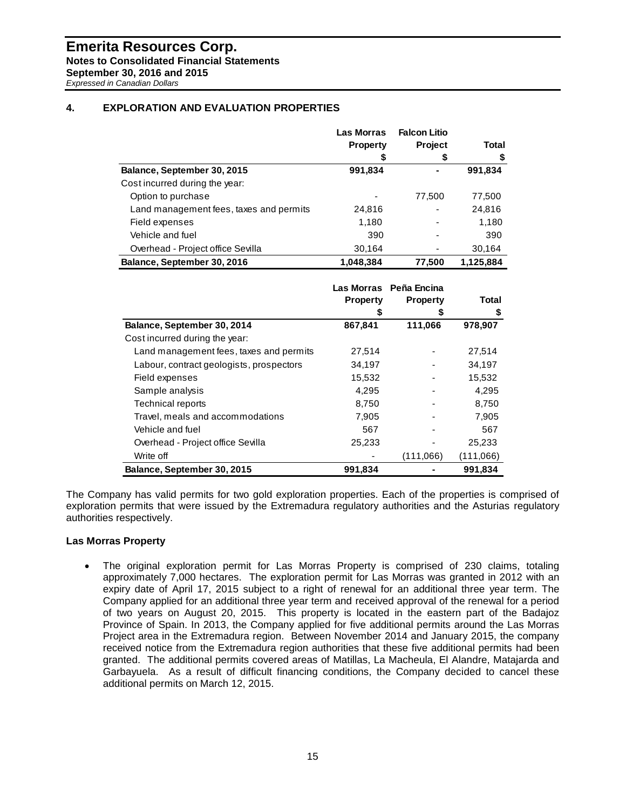## **4. EXPLORATION AND EVALUATION PROPERTIES**

|                                         | Las Morras      | <b>Falcon Litio</b> |           |
|-----------------------------------------|-----------------|---------------------|-----------|
|                                         | <b>Property</b> | <b>Project</b>      | Total     |
|                                         | \$              | \$                  | \$        |
| Balance, September 30, 2015             | 991,834         |                     | 991,834   |
| Cost incurred during the year:          |                 |                     |           |
| Option to purchase                      |                 | 77,500              | 77,500    |
| Land management fees, taxes and permits | 24,816          |                     | 24,816    |
| Field expenses                          | 1,180           |                     | 1,180     |
| Vehicle and fuel                        | 390             |                     | 390       |
| Overhead - Project office Sevilla       | 30,164          |                     | 30,164    |
| Balance, September 30, 2016             | 1,048,384       | 77,500              | 1,125,884 |

|                                          | <b>Property</b><br>S | Las Morras Peña Encina<br><b>Property</b><br>5 | Total<br>\$ |
|------------------------------------------|----------------------|------------------------------------------------|-------------|
| Balance, September 30, 2014              | 867,841              | 111,066                                        | 978,907     |
| Cost incurred during the year:           |                      |                                                |             |
| Land management fees, taxes and permits  | 27,514               |                                                | 27,514      |
| Labour, contract geologists, prospectors | 34,197               |                                                | 34,197      |
| Field expenses                           | 15,532               |                                                | 15,532      |
| Sample analysis                          | 4,295                |                                                | 4,295       |
| <b>Technical reports</b>                 | 8.750                |                                                | 8,750       |
| Travel, meals and accommodations         | 7,905                |                                                | 7,905       |
| Vehicle and fuel                         | 567                  |                                                | 567         |
| Overhead - Project office Sevilla        | 25,233               |                                                | 25,233      |
| Write off                                |                      | (111,066)                                      | (111,066)   |
| Balance, September 30, 2015              | 991,834              |                                                | 991,834     |

The Company has valid permits for two gold exploration properties. Each of the properties is comprised of exploration permits that were issued by the Extremadura regulatory authorities and the Asturias regulatory authorities respectively.

### **Las Morras Property**

• The original exploration permit for Las Morras Property is comprised of 230 claims, totaling approximately 7,000 hectares. The exploration permit for Las Morras was granted in 2012 with an expiry date of April 17, 2015 subject to a right of renewal for an additional three year term. The Company applied for an additional three year term and received approval of the renewal for a period of two years on August 20, 2015. This property is located in the eastern part of the Badajoz Province of Spain. In 2013, the Company applied for five additional permits around the Las Morras Project area in the Extremadura region. Between November 2014 and January 2015, the company received notice from the Extremadura region authorities that these five additional permits had been granted. The additional permits covered areas of Matillas, La Macheula, El Alandre, Matajarda and Garbayuela. As a result of difficult financing conditions, the Company decided to cancel these additional permits on March 12, 2015.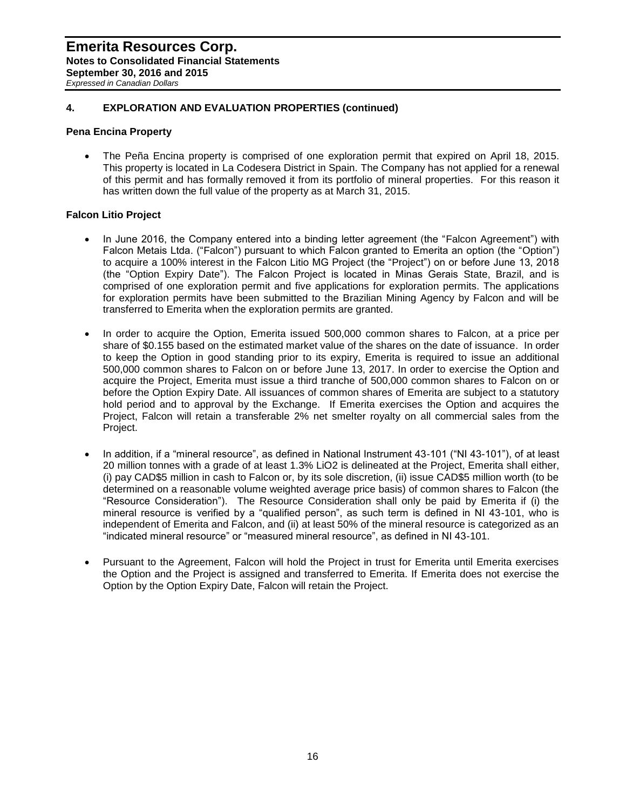## **4. EXPLORATION AND EVALUATION PROPERTIES (continued)**

#### **Pena Encina Property**

 The Peña Encina property is comprised of one exploration permit that expired on April 18, 2015. This property is located in La Codesera District in Spain. The Company has not applied for a renewal of this permit and has formally removed it from its portfolio of mineral properties. For this reason it has written down the full value of the property as at March 31, 2015.

### **Falcon Litio Project**

- In June 2016, the Company entered into a binding letter agreement (the "Falcon Agreement") with Falcon Metais Ltda. ("Falcon") pursuant to which Falcon granted to Emerita an option (the "Option") to acquire a 100% interest in the Falcon Litio MG Project (the "Project") on or before June 13, 2018 (the "Option Expiry Date"). The Falcon Project is located in Minas Gerais State, Brazil, and is comprised of one exploration permit and five applications for exploration permits. The applications for exploration permits have been submitted to the Brazilian Mining Agency by Falcon and will be transferred to Emerita when the exploration permits are granted.
- In order to acquire the Option, Emerita issued 500,000 common shares to Falcon, at a price per share of \$0.155 based on the estimated market value of the shares on the date of issuance. In order to keep the Option in good standing prior to its expiry, Emerita is required to issue an additional 500,000 common shares to Falcon on or before June 13, 2017. In order to exercise the Option and acquire the Project, Emerita must issue a third tranche of 500,000 common shares to Falcon on or before the Option Expiry Date. All issuances of common shares of Emerita are subject to a statutory hold period and to approval by the Exchange. If Emerita exercises the Option and acquires the Project, Falcon will retain a transferable 2% net smelter royalty on all commercial sales from the Project.
- In addition, if a "mineral resource", as defined in National Instrument 43-101 ("NI 43-101"), of at least 20 million tonnes with a grade of at least 1.3% LiO2 is delineated at the Project, Emerita shall either, (i) pay CAD\$5 million in cash to Falcon or, by its sole discretion, (ii) issue CAD\$5 million worth (to be determined on a reasonable volume weighted average price basis) of common shares to Falcon (the "Resource Consideration"). The Resource Consideration shall only be paid by Emerita if (i) the mineral resource is verified by a "qualified person", as such term is defined in NI 43-101, who is independent of Emerita and Falcon, and (ii) at least 50% of the mineral resource is categorized as an "indicated mineral resource" or "measured mineral resource", as defined in NI 43-101.
- Pursuant to the Agreement, Falcon will hold the Project in trust for Emerita until Emerita exercises the Option and the Project is assigned and transferred to Emerita. If Emerita does not exercise the Option by the Option Expiry Date, Falcon will retain the Project.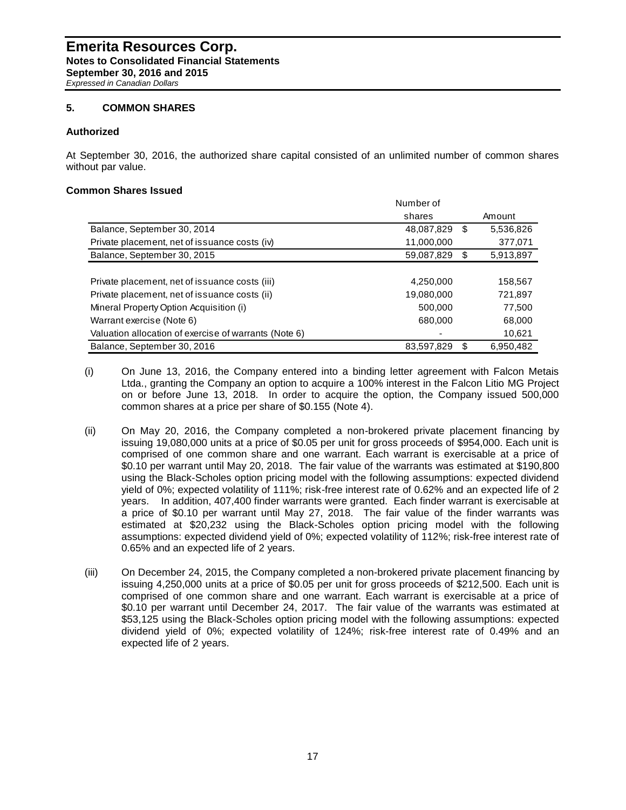## **5. COMMON SHARES**

#### **Authorized**

At September 30, 2016, the authorized share capital consisted of an unlimited number of common shares without par value.

#### **Common Shares Issued**

|                                                       | Number of  |    |           |  |  |
|-------------------------------------------------------|------------|----|-----------|--|--|
|                                                       | shares     |    | Amount    |  |  |
| Balance, September 30, 2014                           | 48,087,829 | \$ | 5,536,826 |  |  |
| Private placement, net of issuance costs (iv)         | 11,000,000 |    | 377,071   |  |  |
| Balance, September 30, 2015                           | 59,087,829 | S  | 5,913,897 |  |  |
|                                                       |            |    |           |  |  |
| Private placement, net of issuance costs (iii)        | 4,250,000  |    | 158,567   |  |  |
| Private placement, net of issuance costs (ii)         | 19,080,000 |    | 721,897   |  |  |
| Mineral Property Option Acquisition (i)               | 500,000    |    | 77,500    |  |  |
| Warrant exercise (Note 6)                             | 680,000    |    | 68,000    |  |  |
| Valuation allocation of exercise of warrants (Note 6) |            |    | 10,621    |  |  |
| Balance, September 30, 2016                           | 83.597.829 | S  | 6,950,482 |  |  |

- (i) On June 13, 2016, the Company entered into a binding letter agreement with Falcon Metais Ltda., granting the Company an option to acquire a 100% interest in the Falcon Litio MG Project on or before June 13, 2018. In order to acquire the option, the Company issued 500,000 common shares at a price per share of \$0.155 (Note 4).
- (ii) On May 20, 2016, the Company completed a non-brokered private placement financing by issuing 19,080,000 units at a price of \$0.05 per unit for gross proceeds of \$954,000. Each unit is comprised of one common share and one warrant. Each warrant is exercisable at a price of \$0.10 per warrant until May 20, 2018. The fair value of the warrants was estimated at \$190,800 using the Black-Scholes option pricing model with the following assumptions: expected dividend yield of 0%; expected volatility of 111%; risk-free interest rate of 0.62% and an expected life of 2 years. In addition, 407,400 finder warrants were granted. Each finder warrant is exercisable at a price of \$0.10 per warrant until May 27, 2018. The fair value of the finder warrants was estimated at \$20,232 using the Black-Scholes option pricing model with the following assumptions: expected dividend yield of 0%; expected volatility of 112%; risk-free interest rate of 0.65% and an expected life of 2 years.
- (iii) On December 24, 2015, the Company completed a non-brokered private placement financing by issuing 4,250,000 units at a price of \$0.05 per unit for gross proceeds of \$212,500. Each unit is comprised of one common share and one warrant. Each warrant is exercisable at a price of \$0.10 per warrant until December 24, 2017. The fair value of the warrants was estimated at \$53,125 using the Black-Scholes option pricing model with the following assumptions: expected dividend yield of 0%; expected volatility of 124%; risk-free interest rate of 0.49% and an expected life of 2 years.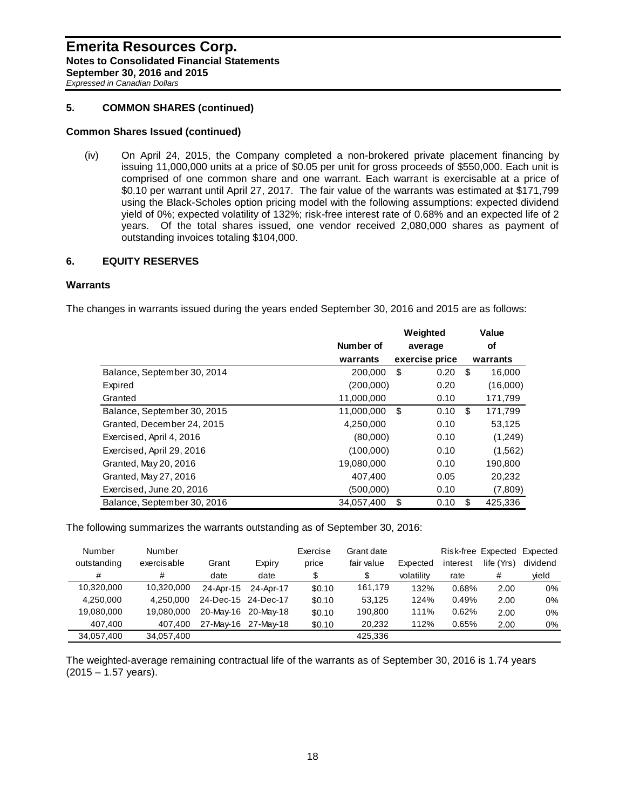## **5. COMMON SHARES (continued)**

#### **Common Shares Issued (continued)**

(iv) On April 24, 2015, the Company completed a non-brokered private placement financing by issuing 11,000,000 units at a price of \$0.05 per unit for gross proceeds of \$550,000. Each unit is comprised of one common share and one warrant. Each warrant is exercisable at a price of \$0.10 per warrant until April 27, 2017. The fair value of the warrants was estimated at \$171,799 using the Black-Scholes option pricing model with the following assumptions: expected dividend yield of 0%; expected volatility of 132%; risk-free interest rate of 0.68% and an expected life of 2 years. Of the total shares issued, one vendor received 2,080,000 shares as payment of outstanding invoices totaling \$104,000.

### **6. EQUITY RESERVES**

#### **Warrants**

The changes in warrants issued during the years ended September 30, 2016 and 2015 are as follows:

|                             |            | Weighted       | Value         |
|-----------------------------|------------|----------------|---------------|
|                             | Number of  | average        | οf            |
|                             | warrants   | exercise price | warrants      |
| Balance, September 30, 2014 | 200,000    | S<br>0.20      | \$.<br>16,000 |
| Expired                     | (200,000)  | 0.20           | (16,000)      |
| Granted                     | 11,000,000 | 0.10           | 171,799       |
| Balance, September 30, 2015 | 11,000,000 | \$<br>0.10     | \$<br>171,799 |
| Granted, December 24, 2015  | 4,250,000  | 0.10           | 53,125        |
| Exercised, April 4, 2016    | (80,000)   | 0.10           | (1,249)       |
| Exercised, April 29, 2016   | (100,000)  | 0.10           | (1, 562)      |
| Granted, May 20, 2016       | 19,080,000 | 0.10           | 190,800       |
| Granted, May 27, 2016       | 407.400    | 0.05           | 20,232        |
| Exercised, June 20, 2016    | (500,000)  | 0.10           | (7,809)       |
| Balance, September 30, 2016 | 34.057.400 | \$<br>0.10     | \$<br>425.336 |

The following summarizes the warrants outstanding as of September 30, 2016:

| Number<br>outstanding<br># | Number<br>exercisable<br># | Grant<br>date | Expiry<br>date      | Exercise<br>price<br>\$ | Grant date<br>fair value<br>\$ | Expected<br>volatility | interest<br>rate | Risk-free Expected<br>life (Yrs)<br># | Expected<br>dividend<br>yield |
|----------------------------|----------------------------|---------------|---------------------|-------------------------|--------------------------------|------------------------|------------------|---------------------------------------|-------------------------------|
| 10.320.000                 | 10.320.000                 | 24-Apr-15     | 24-Apr-17           | \$0.10                  | 161.179                        | 132%                   | 0.68%            | 2.00                                  | $0\%$                         |
| 4.250.000                  | 4.250.000                  |               | 24-Dec-15 24-Dec-17 | \$0.10                  | 53.125                         | 124%                   | 0.49%            | 2.00                                  | $0\%$                         |
| 19,080,000                 | 19.080.000                 |               | 20-May-16 20-May-18 | \$0.10                  | 190.800                        | 111%                   | 0.62%            | 2.00                                  | $0\%$                         |
| 407.400                    | 407.400                    |               | 27-May-16 27-May-18 | \$0.10                  | 20.232                         | 112%                   | 0.65%            | 2.00                                  | $0\%$                         |
| 34.057.400                 | 34,057,400                 |               |                     |                         | 425,336                        |                        |                  |                                       |                               |

The weighted-average remaining contractual life of the warrants as of September 30, 2016 is 1.74 years  $(2015 - 1.57 \text{ years}).$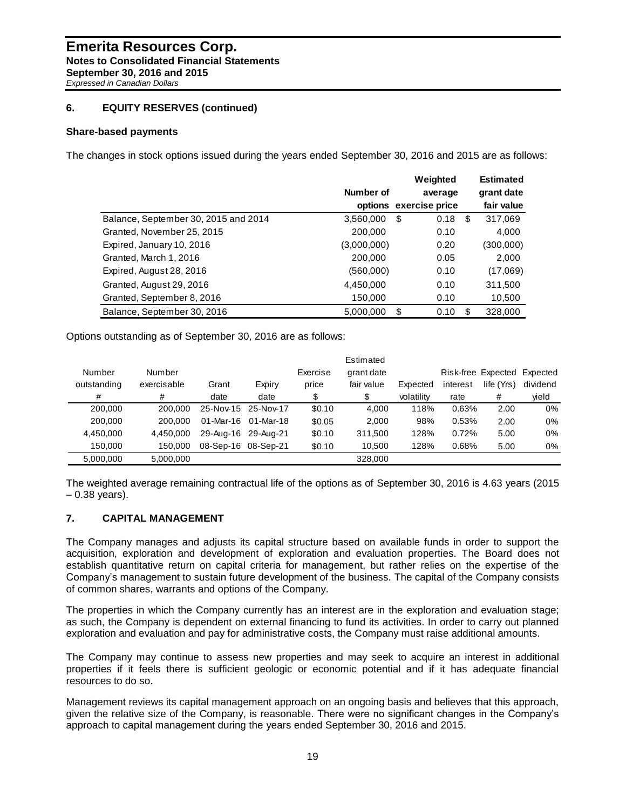## **6. EQUITY RESERVES (continued)**

### **Share-based payments**

The changes in stock options issued during the years ended September 30, 2016 and 2015 are as follows:

|                                      |             | Weighted               | <b>Estimated</b> |
|--------------------------------------|-------------|------------------------|------------------|
|                                      | Number of   | average                | grant date       |
|                                      |             | options exercise price | fair value       |
| Balance, September 30, 2015 and 2014 | 3,560,000   | \$<br>0.18             | \$<br>317,069    |
| Granted, November 25, 2015           | 200,000     | 0.10                   | 4,000            |
| Expired, January 10, 2016            | (3,000,000) | 0.20                   | (300,000)        |
| Granted, March 1, 2016               | 200,000     | 0.05                   | 2,000            |
| Expired, August 28, 2016             | (560,000)   | 0.10                   | (17,069)         |
| Granted, August 29, 2016             | 4,450,000   | 0.10                   | 311,500          |
| Granted, September 8, 2016           | 150,000     | 0.10                   | 10,500           |
| Balance, September 30, 2016          | 5.000.000   | \$<br>0.10             | \$<br>328,000    |

Options outstanding as of September 30, 2016 are as follows:

|             |             |           |                     |          | Estimated  |            |          |                    |          |
|-------------|-------------|-----------|---------------------|----------|------------|------------|----------|--------------------|----------|
| Number      | Number      |           |                     | Exercise | grant date |            |          | Risk-free Expected | Expected |
| outstanding | exercisable | Grant     | Expiry              | price    | fair value | Expected   | interest | life (Yrs)         | dividend |
| #           | #           | date      | date                | \$       | \$         | volatility | rate     | #                  | vield    |
| 200,000     | 200.000     |           | 25-Nov-15 25-Nov-17 | \$0.10   | 4.000      | 118%       | 0.63%    | 2.00               | $0\%$    |
| 200,000     | 200.000     | 01-Mar-16 | 01-Mar-18           | \$0.05   | 2,000      | 98%        | 0.53%    | 2.00               | $0\%$    |
| 4.450.000   | 4.450.000   |           | 29-Aug-16 29-Aug-21 | \$0.10   | 311.500    | 128%       | 0.72%    | 5.00               | $0\%$    |
| 150.000     | 150.000     | 08-Sep-16 | 08-Sep-21           | \$0.10   | 10,500     | 128%       | 0.68%    | 5.00               | 0%       |
| 5,000,000   | 5,000,000   |           |                     |          | 328,000    |            |          |                    |          |

The weighted average remaining contractual life of the options as of September 30, 2016 is 4.63 years (2015 – 0.38 years).

## **7. CAPITAL MANAGEMENT**

The Company manages and adjusts its capital structure based on available funds in order to support the acquisition, exploration and development of exploration and evaluation properties. The Board does not establish quantitative return on capital criteria for management, but rather relies on the expertise of the Company's management to sustain future development of the business. The capital of the Company consists of common shares, warrants and options of the Company.

The properties in which the Company currently has an interest are in the exploration and evaluation stage; as such, the Company is dependent on external financing to fund its activities. In order to carry out planned exploration and evaluation and pay for administrative costs, the Company must raise additional amounts.

The Company may continue to assess new properties and may seek to acquire an interest in additional properties if it feels there is sufficient geologic or economic potential and if it has adequate financial resources to do so.

Management reviews its capital management approach on an ongoing basis and believes that this approach, given the relative size of the Company, is reasonable. There were no significant changes in the Company's approach to capital management during the years ended September 30, 2016 and 2015.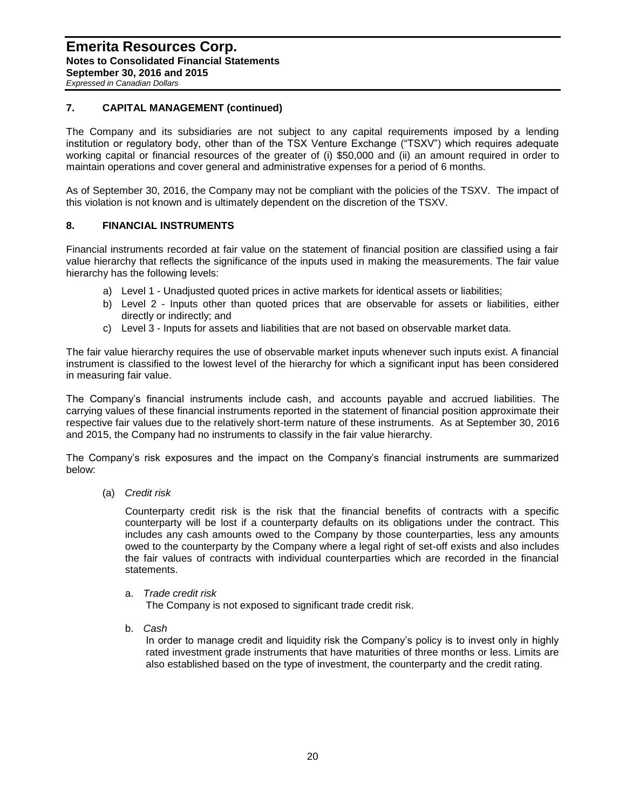## **7. CAPITAL MANAGEMENT (continued)**

The Company and its subsidiaries are not subject to any capital requirements imposed by a lending institution or regulatory body, other than of the TSX Venture Exchange ("TSXV") which requires adequate working capital or financial resources of the greater of (i) \$50,000 and (ii) an amount required in order to maintain operations and cover general and administrative expenses for a period of 6 months.

As of September 30, 2016, the Company may not be compliant with the policies of the TSXV. The impact of this violation is not known and is ultimately dependent on the discretion of the TSXV.

## **8. FINANCIAL INSTRUMENTS**

Financial instruments recorded at fair value on the statement of financial position are classified using a fair value hierarchy that reflects the significance of the inputs used in making the measurements. The fair value hierarchy has the following levels:

- a) Level 1 Unadjusted quoted prices in active markets for identical assets or liabilities;
- b) Level 2 Inputs other than quoted prices that are observable for assets or liabilities, either directly or indirectly; and
- c) Level 3 Inputs for assets and liabilities that are not based on observable market data.

The fair value hierarchy requires the use of observable market inputs whenever such inputs exist. A financial instrument is classified to the lowest level of the hierarchy for which a significant input has been considered in measuring fair value.

The Company's financial instruments include cash, and accounts payable and accrued liabilities. The carrying values of these financial instruments reported in the statement of financial position approximate their respective fair values due to the relatively short-term nature of these instruments. As at September 30, 2016 and 2015, the Company had no instruments to classify in the fair value hierarchy.

The Company's risk exposures and the impact on the Company's financial instruments are summarized below:

(a) *Credit risk* 

Counterparty credit risk is the risk that the financial benefits of contracts with a specific counterparty will be lost if a counterparty defaults on its obligations under the contract. This includes any cash amounts owed to the Company by those counterparties, less any amounts owed to the counterparty by the Company where a legal right of set-off exists and also includes the fair values of contracts with individual counterparties which are recorded in the financial statements.

a. *Trade credit risk*

The Company is not exposed to significant trade credit risk.

b. *Cash*

In order to manage credit and liquidity risk the Company's policy is to invest only in highly rated investment grade instruments that have maturities of three months or less. Limits are also established based on the type of investment, the counterparty and the credit rating.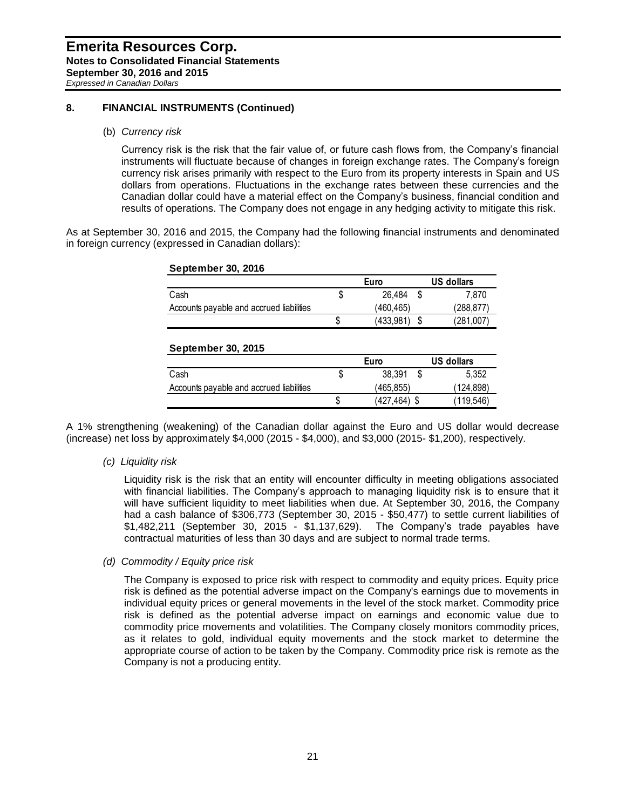### **8. FINANCIAL INSTRUMENTS (Continued)**

#### (b) *Currency risk*

Currency risk is the risk that the fair value of, or future cash flows from, the Company's financial instruments will fluctuate because of changes in foreign exchange rates. The Company's foreign currency risk arises primarily with respect to the Euro from its property interests in Spain and US dollars from operations. Fluctuations in the exchange rates between these currencies and the Canadian dollar could have a material effect on the Company's business, financial condition and results of operations. The Company does not engage in any hedging activity to mitigate this risk.

As at September 30, 2016 and 2015, the Company had the following financial instruments and denominated in foreign currency (expressed in Canadian dollars):

|                                          | Euro               |    | <b>US dollars</b> |
|------------------------------------------|--------------------|----|-------------------|
| Cash                                     | \$<br>26.484       | S  | 7.870             |
| Accounts payable and accrued liabilities | (460,465)          |    | (288,877)         |
|                                          | \$<br>(433, 981)   | \$ | (281,007)         |
| September 30, 2015                       | Euro               |    | <b>US dollars</b> |
|                                          |                    |    |                   |
| Cash                                     | \$<br>38,391       | \$ | 5,352             |
| Accounts payable and accrued liabilities | (465,855)          |    | (124,898)         |
|                                          | \$<br>(427,464) \$ |    | (119, 546)        |

#### **September 30, 2016**

A 1% strengthening (weakening) of the Canadian dollar against the Euro and US dollar would decrease (increase) net loss by approximately \$4,000 (2015 - \$4,000), and \$3,000 (2015- \$1,200), respectively.

*(c) Liquidity risk* 

Liquidity risk is the risk that an entity will encounter difficulty in meeting obligations associated with financial liabilities. The Company's approach to managing liquidity risk is to ensure that it will have sufficient liquidity to meet liabilities when due. At September 30, 2016, the Company had a cash balance of \$306,773 (September 30, 2015 - \$50,477) to settle current liabilities of \$1,482,211 (September 30, 2015 - \$1,137,629). The Company's trade payables have contractual maturities of less than 30 days and are subject to normal trade terms.

### *(d) Commodity / Equity price risk*

The Company is exposed to price risk with respect to commodity and equity prices. Equity price risk is defined as the potential adverse impact on the Company's earnings due to movements in individual equity prices or general movements in the level of the stock market. Commodity price risk is defined as the potential adverse impact on earnings and economic value due to commodity price movements and volatilities. The Company closely monitors commodity prices, as it relates to gold, individual equity movements and the stock market to determine the appropriate course of action to be taken by the Company. Commodity price risk is remote as the Company is not a producing entity.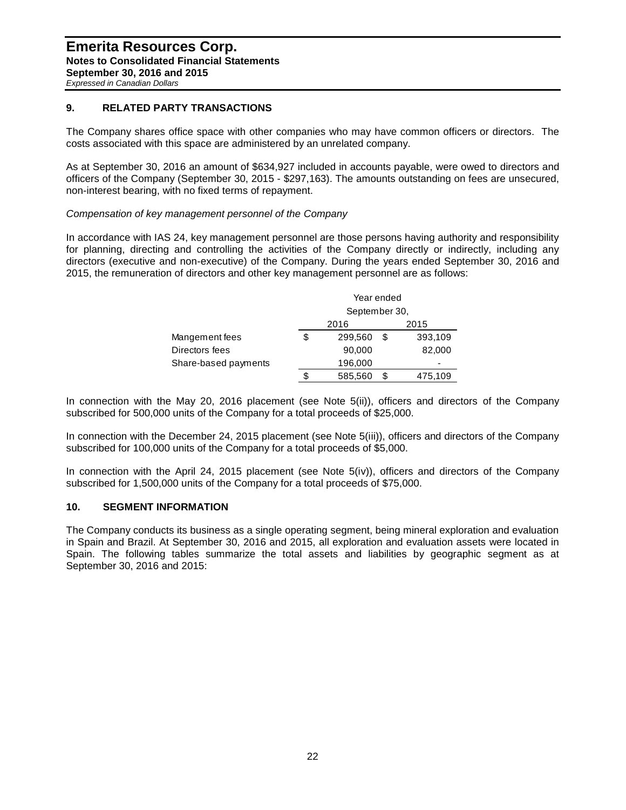## **9. RELATED PARTY TRANSACTIONS**

The Company shares office space with other companies who may have common officers or directors. The costs associated with this space are administered by an unrelated company.

As at September 30, 2016 an amount of \$634,927 included in accounts payable, were owed to directors and officers of the Company (September 30, 2015 - \$297,163). The amounts outstanding on fees are unsecured, non-interest bearing, with no fixed terms of repayment.

### *Compensation of key management personnel of the Company*

In accordance with IAS 24, key management personnel are those persons having authority and responsibility for planning, directing and controlling the activities of the Company directly or indirectly, including any directors (executive and non-executive) of the Company. During the years ended September 30, 2016 and 2015, the remuneration of directors and other key management personnel are as follows:

|                      |    | Year ended    |   |         |  |  |  |
|----------------------|----|---------------|---|---------|--|--|--|
|                      |    | September 30, |   |         |  |  |  |
|                      |    | 2016<br>2015  |   |         |  |  |  |
| Mangement fees       | \$ | 299,560       | S | 393,109 |  |  |  |
| Directors fees       |    | 90,000        |   | 82,000  |  |  |  |
| Share-based payments |    | 196,000       |   |         |  |  |  |
|                      | S  | 585,560       | S | 475,109 |  |  |  |

In connection with the May 20, 2016 placement (see Note 5(ii)), officers and directors of the Company subscribed for 500,000 units of the Company for a total proceeds of \$25,000.

In connection with the December 24, 2015 placement (see Note 5(iii)), officers and directors of the Company subscribed for 100,000 units of the Company for a total proceeds of \$5,000.

In connection with the April 24, 2015 placement (see Note 5(iv)), officers and directors of the Company subscribed for 1,500,000 units of the Company for a total proceeds of \$75,000.

### **10. SEGMENT INFORMATION**

The Company conducts its business as a single operating segment, being mineral exploration and evaluation in Spain and Brazil. At September 30, 2016 and 2015, all exploration and evaluation assets were located in Spain. The following tables summarize the total assets and liabilities by geographic segment as at September 30, 2016 and 2015: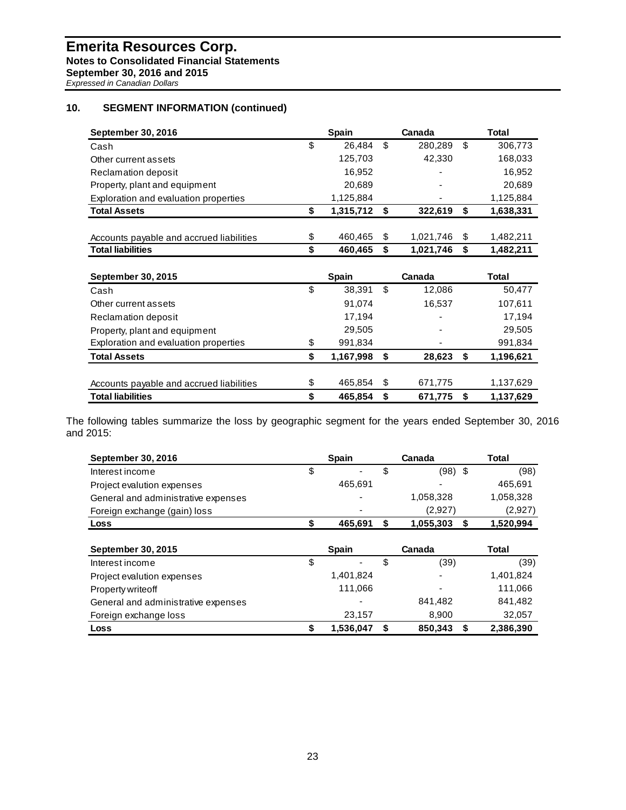## **Emerita Resources Corp. Notes to Consolidated Financial Statements September 30, 2016 and 2015**

*Expressed in Canadian Dollars*

## **10. SEGMENT INFORMATION (continued)**

| September 30, 2016                       | <b>Spain</b>    | Canada          | Total           |
|------------------------------------------|-----------------|-----------------|-----------------|
| Cash                                     | \$<br>26,484    | \$<br>280,289   | \$<br>306,773   |
| Other current assets                     | 125,703         | 42,330          | 168,033         |
| Reclamation deposit                      | 16,952          |                 | 16,952          |
| Property, plant and equipment            | 20,689          |                 | 20,689          |
| Exploration and evaluation properties    | 1,125,884       |                 | 1,125,884       |
| <b>Total Assets</b>                      | \$<br>1,315,712 | \$<br>322,619   | \$<br>1,638,331 |
|                                          |                 |                 |                 |
| Accounts payable and accrued liabilities | \$<br>460,465   | \$<br>1,021,746 | \$<br>1,482,211 |
| <b>Total liabilities</b>                 | \$<br>460,465   | \$<br>1,021,746 | \$<br>1,482,211 |
| <b>September 30, 2015</b>                | Spain           | Canada          | Total           |
|                                          |                 |                 |                 |
| Cash                                     | \$<br>38,391    | \$<br>12,086    | 50,477          |
| Other current assets                     | 91,074          | 16,537          | 107,611         |
| Reclamation deposit                      | 17,194          |                 | 17,194          |
| Property, plant and equipment            | 29,505          |                 | 29,505          |
| Exploration and evaluation properties    | \$<br>991,834   |                 | 991,834         |
| <b>Total Assets</b>                      | \$<br>1,167,998 | \$<br>28,623    | \$<br>1,196,621 |
|                                          |                 |                 |                 |
| Accounts payable and accrued liabilities | \$<br>465,854   | \$<br>671,775   | 1,137,629       |
| <b>Total liabilities</b>                 | \$<br>465,854   | \$<br>671,775   | \$<br>1,137,629 |

The following tables summarize the loss by geographic segment for the years ended September 30, 2016 and 2015:

| September 30, 2016                  | <b>Spain</b>    | Canada         | Total     |
|-------------------------------------|-----------------|----------------|-----------|
| Interest income                     | \$              | \$<br>(98) \$  | (98)      |
| Project evalution expenses          | 465,691         |                | 465,691   |
| General and administrative expenses |                 | 1,058,328      | 1,058,328 |
| Foreign exchange (gain) loss        |                 | (2,927)        | (2,927)   |
| <b>Loss</b>                         | \$<br>465,691   | 1,055,303<br>S | 1,520,994 |
| <b>September 30, 2015</b>           | <b>Spain</b>    | Canada         | Total     |
| Interest income                     | \$              | \$<br>(39)     | (39)      |
| Project evalution expenses          | 1,401,824       |                | 1,401,824 |
| <b>Property writeoff</b>            | 111,066         |                | 111,066   |
| General and administrative expenses |                 | 841,482        | 841,482   |
| Foreign exchange loss               | 23,157          | 8,900          | 32,057    |
| <b>Loss</b>                         | \$<br>1.536.047 | 850.343<br>S   | 2,386,390 |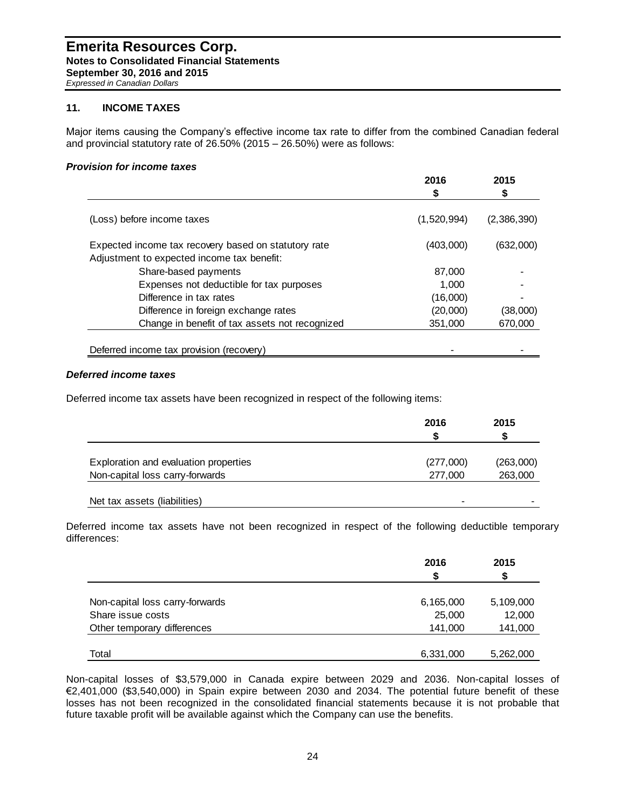## **11. INCOME TAXES**

Major items causing the Company's effective income tax rate to differ from the combined Canadian federal and provincial statutory rate of 26.50% (2015 – 26.50%) were as follows:

#### *Provision for income taxes*

|                                                      | 2016        | 2015        |
|------------------------------------------------------|-------------|-------------|
|                                                      |             |             |
| (Loss) before income taxes                           | (1,520,994) | (2,386,390) |
| Expected income tax recovery based on statutory rate | (403,000)   | (632,000)   |
| Adjustment to expected income tax benefit:           |             |             |
| Share-based payments                                 | 87,000      |             |
| Expenses not deductible for tax purposes             | 1.000       |             |
| Difference in tax rates                              | (16,000)    |             |
| Difference in foreign exchange rates                 | (20,000)    | (38,000)    |
| Change in benefit of tax assets not recognized       | 351,000     | 670,000     |
|                                                      |             |             |
| Deferred income tax provision (recovery)             |             |             |
|                                                      |             |             |

## *Deferred income taxes*

Deferred income tax assets have been recognized in respect of the following items:

|                                       | 2016      | 2015      |
|---------------------------------------|-----------|-----------|
|                                       |           |           |
| Exploration and evaluation properties | (277,000) | (263,000) |
| Non-capital loss carry-forwards       | 277,000   | 263,000   |
|                                       |           |           |
| Net tax assets (liabilities)          |           |           |

Deferred income tax assets have not been recognized in respect of the following deductible temporary differences:

|                                 | 2016      | 2015      |
|---------------------------------|-----------|-----------|
| Non-capital loss carry-forwards | 6,165,000 | 5,109,000 |
| Share issue costs               | 25,000    | 12,000    |
| Other temporary differences     | 141,000   | 141,000   |
| Total                           | 6,331,000 | 5,262,000 |

Non-capital losses of \$3,579,000 in Canada expire between 2029 and 2036. Non-capital losses of €2,401,000 (\$3,540,000) in Spain expire between 2030 and 2034. The potential future benefit of these losses has not been recognized in the consolidated financial statements because it is not probable that future taxable profit will be available against which the Company can use the benefits.